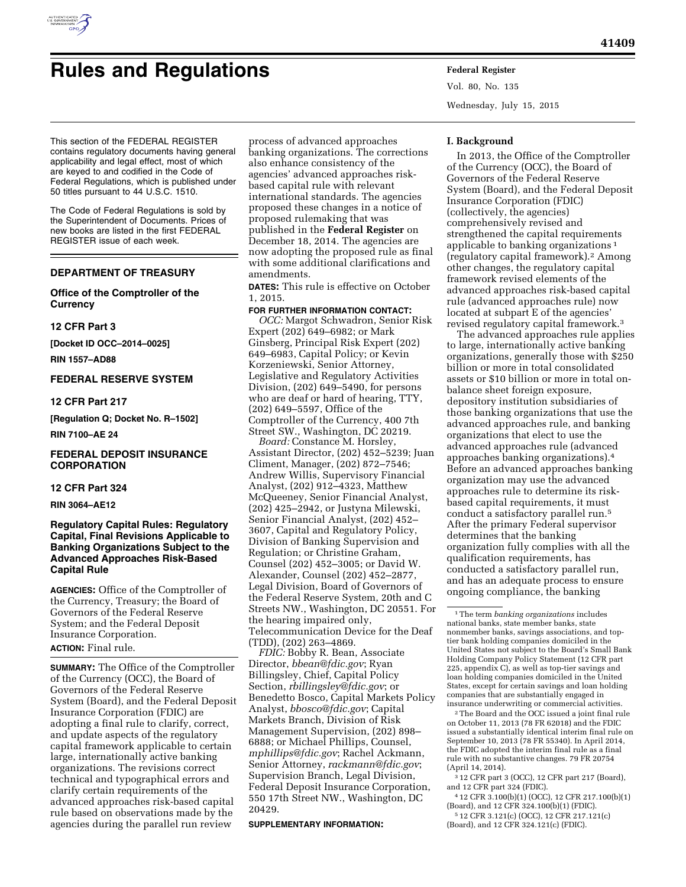

# **Rules and Regulations Federal Register**

Vol. 80, No. 135 Wednesday, July 15, 2015

This section of the FEDERAL REGISTER contains regulatory documents having general applicability and legal effect, most of which are keyed to and codified in the Code of Federal Regulations, which is published under 50 titles pursuant to 44 U.S.C. 1510.

The Code of Federal Regulations is sold by the Superintendent of Documents. Prices of new books are listed in the first FEDERAL REGISTER issue of each week.

# **DEPARTMENT OF TREASURY**

# **Office of the Comptroller of the Currency**

#### **12 CFR Part 3**

**[Docket ID OCC–2014–0025]** 

**RIN 1557–AD88** 

# **FEDERAL RESERVE SYSTEM**

# **12 CFR Part 217**

**[Regulation Q; Docket No. R–1502]** 

# **RIN 7100–AE 24**

# **FEDERAL DEPOSIT INSURANCE CORPORATION**

# **12 CFR Part 324**

**RIN 3064–AE12** 

# **Regulatory Capital Rules: Regulatory Capital, Final Revisions Applicable to Banking Organizations Subject to the Advanced Approaches Risk-Based Capital Rule**

**AGENCIES:** Office of the Comptroller of the Currency, Treasury; the Board of Governors of the Federal Reserve System; and the Federal Deposit Insurance Corporation. **ACTION:** Final rule.

**SUMMARY:** The Office of the Comptroller of the Currency (OCC), the Board of Governors of the Federal Reserve System (Board), and the Federal Deposit Insurance Corporation (FDIC) are adopting a final rule to clarify, correct, and update aspects of the regulatory capital framework applicable to certain large, internationally active banking organizations. The revisions correct technical and typographical errors and clarify certain requirements of the advanced approaches risk-based capital rule based on observations made by the agencies during the parallel run review

process of advanced approaches banking organizations. The corrections also enhance consistency of the agencies' advanced approaches riskbased capital rule with relevant international standards. The agencies proposed these changes in a notice of proposed rulemaking that was published in the **Federal Register** on December 18, 2014. The agencies are now adopting the proposed rule as final with some additional clarifications and amendments.

**DATES:** This rule is effective on October 1, 2015.

#### **FOR FURTHER INFORMATION CONTACT:**

*OCC:* Margot Schwadron, Senior Risk Expert (202) 649–6982; or Mark Ginsberg, Principal Risk Expert (202) 649–6983, Capital Policy; or Kevin Korzeniewski, Senior Attorney, Legislative and Regulatory Activities Division, (202) 649–5490, for persons who are deaf or hard of hearing, TTY, (202) 649–5597, Office of the Comptroller of the Currency, 400 7th Street SW., Washington, DC 20219.

*Board:* Constance M. Horsley, Assistant Director, (202) 452–5239; Juan Climent, Manager, (202) 872–7546; Andrew Willis, Supervisory Financial Analyst, (202) 912–4323, Matthew McQueeney, Senior Financial Analyst, (202) 425–2942, or Justyna Milewski, Senior Financial Analyst, (202) 452– 3607, Capital and Regulatory Policy, Division of Banking Supervision and Regulation; or Christine Graham, Counsel (202) 452–3005; or David W. Alexander, Counsel (202) 452–2877, Legal Division, Board of Governors of the Federal Reserve System, 20th and C Streets NW., Washington, DC 20551. For the hearing impaired only, Telecommunication Device for the Deaf (TDD), (202) 263–4869.

*FDIC:* Bobby R. Bean, Associate Director, *[bbean@fdic.gov](mailto:bbean@fdic.gov)*; Ryan Billingsley, Chief, Capital Policy Section, *[rbillingsley@fdic.gov](mailto:rbillingsley@fdic.gov)*; or Benedetto Bosco, Capital Markets Policy Analyst, *[bbosco@fdic.gov](mailto:bbosco@fdic.gov)*; Capital Markets Branch, Division of Risk Management Supervision, (202) 898– 6888; or Michael Phillips, Counsel, *[mphillips@fdic.gov](mailto:mphillips@fdic.gov)*; Rachel Ackmann, Senior Attorney, *[rackmann@fdic.gov](mailto:rackmann@fdic.gov)*; Supervision Branch, Legal Division, Federal Deposit Insurance Corporation, 550 17th Street NW., Washington, DC 20429.

#### **SUPPLEMENTARY INFORMATION:**

#### **I. Background**

In 2013, the Office of the Comptroller of the Currency (OCC), the Board of Governors of the Federal Reserve System (Board), and the Federal Deposit Insurance Corporation (FDIC) (collectively, the agencies) comprehensively revised and strengthened the capital requirements applicable to banking organizations 1 (regulatory capital framework).2 Among other changes, the regulatory capital framework revised elements of the advanced approaches risk-based capital rule (advanced approaches rule) now located at subpart E of the agencies' revised regulatory capital framework.3

The advanced approaches rule applies to large, internationally active banking organizations, generally those with \$250 billion or more in total consolidated assets or \$10 billion or more in total onbalance sheet foreign exposure, depository institution subsidiaries of those banking organizations that use the advanced approaches rule, and banking organizations that elect to use the advanced approaches rule (advanced approaches banking organizations).4 Before an advanced approaches banking organization may use the advanced approaches rule to determine its riskbased capital requirements, it must conduct a satisfactory parallel run.5 After the primary Federal supervisor determines that the banking organization fully complies with all the qualification requirements, has conducted a satisfactory parallel run, and has an adequate process to ensure ongoing compliance, the banking

2The Board and the OCC issued a joint final rule on October 11, 2013 (78 FR 62018) and the FDIC issued a substantially identical interim final rule on September 10, 2013 (78 FR 55340). In April 2014, the FDIC adopted the interim final rule as a final rule with no substantive changes. 79 FR 20754 (April 14, 2014).

3 12 CFR part 3 (OCC), 12 CFR part 217 (Board), and 12 CFR part 324 (FDIC).

4 12 CFR 3.100(b)(1) (OCC), 12 CFR 217.100(b)(1) (Board), and 12 CFR 324.100(b)(1) (FDIC).

5 12 CFR 3.121(c) (OCC), 12 CFR 217.121(c) (Board), and 12 CFR 324.121(c) (FDIC).

<sup>1</sup>The term *banking organizations* includes national banks, state member banks, state nonmember banks, savings associations, and toptier bank holding companies domiciled in the United States not subject to the Board's Small Bank Holding Company Policy Statement (12 CFR part 225, appendix C), as well as top-tier savings and loan holding companies domiciled in the United States, except for certain savings and loan holding companies that are substantially engaged in insurance underwriting or commercial activities.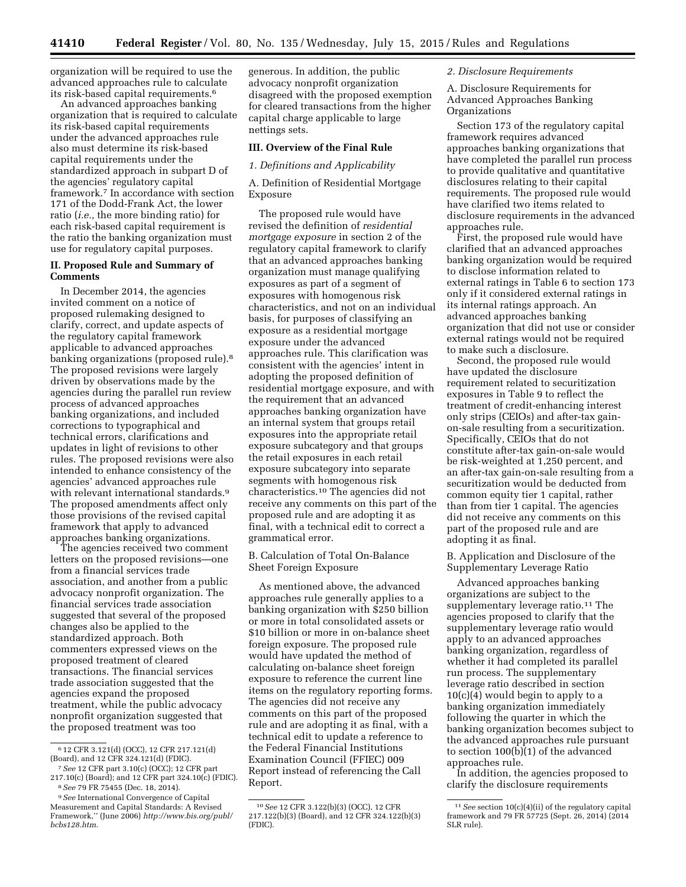organization will be required to use the advanced approaches rule to calculate its risk-based capital requirements.6

An advanced approaches banking organization that is required to calculate its risk-based capital requirements under the advanced approaches rule also must determine its risk-based capital requirements under the standardized approach in subpart D of the agencies' regulatory capital framework.7 In accordance with section 171 of the Dodd-Frank Act, the lower ratio (*i.e.,* the more binding ratio) for each risk-based capital requirement is the ratio the banking organization must use for regulatory capital purposes.

# **II. Proposed Rule and Summary of Comments**

In December 2014, the agencies invited comment on a notice of proposed rulemaking designed to clarify, correct, and update aspects of the regulatory capital framework applicable to advanced approaches banking organizations (proposed rule).8 The proposed revisions were largely driven by observations made by the agencies during the parallel run review process of advanced approaches banking organizations, and included corrections to typographical and technical errors, clarifications and updates in light of revisions to other rules. The proposed revisions were also intended to enhance consistency of the agencies' advanced approaches rule with relevant international standards.9 The proposed amendments affect only those provisions of the revised capital framework that apply to advanced approaches banking organizations.

The agencies received two comment letters on the proposed revisions—one from a financial services trade association, and another from a public advocacy nonprofit organization. The financial services trade association suggested that several of the proposed changes also be applied to the standardized approach. Both commenters expressed views on the proposed treatment of cleared transactions. The financial services trade association suggested that the agencies expand the proposed treatment, while the public advocacy nonprofit organization suggested that the proposed treatment was too

generous. In addition, the public advocacy nonprofit organization disagreed with the proposed exemption for cleared transactions from the higher capital charge applicable to large nettings sets.

# **III. Overview of the Final Rule**

#### *1. Definitions and Applicability*

A. Definition of Residential Mortgage Exposure

The proposed rule would have revised the definition of *residential mortgage exposure* in section 2 of the regulatory capital framework to clarify that an advanced approaches banking organization must manage qualifying exposures as part of a segment of exposures with homogenous risk characteristics, and not on an individual basis, for purposes of classifying an exposure as a residential mortgage exposure under the advanced approaches rule. This clarification was consistent with the agencies' intent in adopting the proposed definition of residential mortgage exposure, and with the requirement that an advanced approaches banking organization have an internal system that groups retail exposures into the appropriate retail exposure subcategory and that groups the retail exposures in each retail exposure subcategory into separate segments with homogenous risk characteristics.10 The agencies did not receive any comments on this part of the proposed rule and are adopting it as final, with a technical edit to correct a grammatical error.

# B. Calculation of Total On-Balance Sheet Foreign Exposure

As mentioned above, the advanced approaches rule generally applies to a banking organization with \$250 billion or more in total consolidated assets or \$10 billion or more in on-balance sheet foreign exposure. The proposed rule would have updated the method of calculating on-balance sheet foreign exposure to reference the current line items on the regulatory reporting forms. The agencies did not receive any comments on this part of the proposed rule and are adopting it as final, with a technical edit to update a reference to the Federal Financial Institutions Examination Council (FFIEC) 009 Report instead of referencing the Call Report.

# *2. Disclosure Requirements*

A. Disclosure Requirements for Advanced Approaches Banking Organizations

Section 173 of the regulatory capital framework requires advanced approaches banking organizations that have completed the parallel run process to provide qualitative and quantitative disclosures relating to their capital requirements. The proposed rule would have clarified two items related to disclosure requirements in the advanced approaches rule.

First, the proposed rule would have clarified that an advanced approaches banking organization would be required to disclose information related to external ratings in Table 6 to section 173 only if it considered external ratings in its internal ratings approach. An advanced approaches banking organization that did not use or consider external ratings would not be required to make such a disclosure.

Second, the proposed rule would have updated the disclosure requirement related to securitization exposures in Table 9 to reflect the treatment of credit-enhancing interest only strips (CEIOs) and after-tax gainon-sale resulting from a securitization. Specifically, CEIOs that do not constitute after-tax gain-on-sale would be risk-weighted at 1,250 percent, and an after-tax gain-on-sale resulting from a securitization would be deducted from common equity tier 1 capital, rather than from tier 1 capital. The agencies did not receive any comments on this part of the proposed rule and are adopting it as final.

B. Application and Disclosure of the Supplementary Leverage Ratio

Advanced approaches banking organizations are subject to the supplementary leverage ratio.<sup>11</sup> The agencies proposed to clarify that the supplementary leverage ratio would apply to an advanced approaches banking organization, regardless of whether it had completed its parallel run process. The supplementary leverage ratio described in section  $10(c)(4)$  would begin to apply to a banking organization immediately following the quarter in which the banking organization becomes subject to the advanced approaches rule pursuant to section 100(b)(1) of the advanced approaches rule.

In addition, the agencies proposed to clarify the disclosure requirements

<sup>6</sup> 12 CFR 3.121(d) (OCC), 12 CFR 217.121(d) (Board), and 12 CFR 324.121(d) (FDIC).

<sup>7</sup>*See* 12 CFR part 3.10(c) (OCC); 12 CFR part 217.10(c) (Board); and 12 CFR part 324.10(c) (FDIC).

<sup>8</sup>*See* 79 FR 75455 (Dec. 18, 2014). 9*See* International Convergence of Capital

Measurement and Capital Standards: A Revised Framework,'' (June 2006) *[http://www.bis.org/publ/](http://www.bis.org/publ/bcbs128.htm) [bcbs128.htm](http://www.bis.org/publ/bcbs128.htm)*.

<sup>10</sup>*See* 12 CFR 3.122(b)(3) (OCC), 12 CFR 217.122(b)(3) (Board), and 12 CFR 324.122(b)(3) (FDIC).

<sup>11</sup>*See* section 10(c)(4)(ii) of the regulatory capital framework and 79 FR 57725 (Sept. 26, 2014) (2014 SLR rule).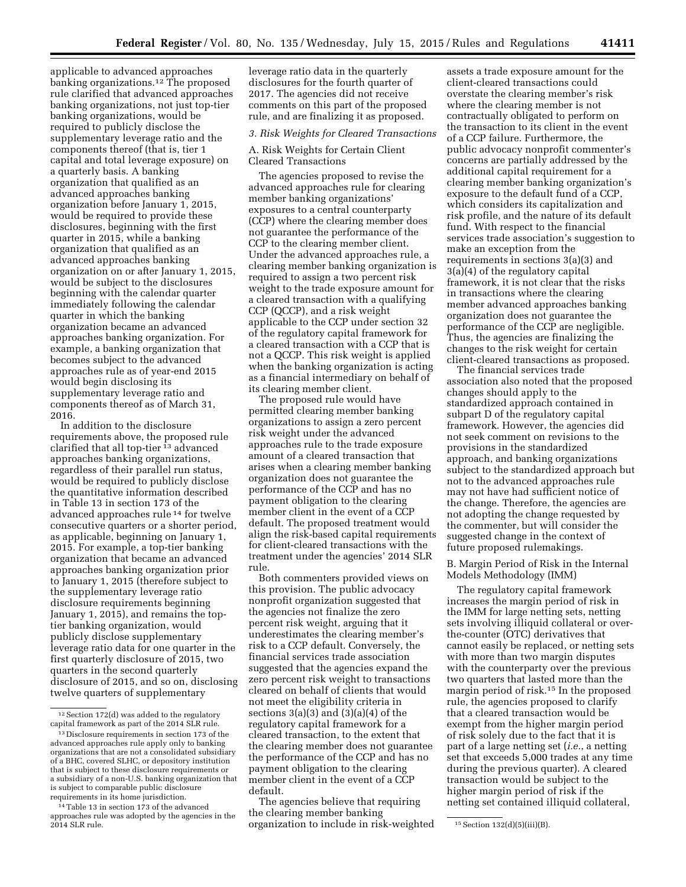applicable to advanced approaches banking organizations.12 The proposed rule clarified that advanced approaches banking organizations, not just top-tier banking organizations, would be required to publicly disclose the supplementary leverage ratio and the components thereof (that is, tier 1 capital and total leverage exposure) on a quarterly basis. A banking organization that qualified as an advanced approaches banking organization before January 1, 2015, would be required to provide these disclosures, beginning with the first quarter in 2015, while a banking organization that qualified as an advanced approaches banking organization on or after January 1, 2015, would be subject to the disclosures beginning with the calendar quarter immediately following the calendar quarter in which the banking organization became an advanced approaches banking organization. For example, a banking organization that becomes subject to the advanced approaches rule as of year-end 2015 would begin disclosing its supplementary leverage ratio and components thereof as of March 31, 2016.

In addition to the disclosure requirements above, the proposed rule clarified that all top-tier 13 advanced approaches banking organizations, regardless of their parallel run status, would be required to publicly disclose the quantitative information described in Table 13 in section 173 of the advanced approaches rule 14 for twelve consecutive quarters or a shorter period, as applicable, beginning on January 1, 2015. For example, a top-tier banking organization that became an advanced approaches banking organization prior to January 1, 2015 (therefore subject to the supplementary leverage ratio disclosure requirements beginning January 1, 2015), and remains the toptier banking organization, would publicly disclose supplementary leverage ratio data for one quarter in the first quarterly disclosure of 2015, two quarters in the second quarterly disclosure of 2015, and so on, disclosing twelve quarters of supplementary

leverage ratio data in the quarterly disclosures for the fourth quarter of 2017. The agencies did not receive comments on this part of the proposed rule, and are finalizing it as proposed.

#### *3. Risk Weights for Cleared Transactions*

A. Risk Weights for Certain Client Cleared Transactions

The agencies proposed to revise the advanced approaches rule for clearing member banking organizations' exposures to a central counterparty (CCP) where the clearing member does not guarantee the performance of the CCP to the clearing member client. Under the advanced approaches rule, a clearing member banking organization is required to assign a two percent risk weight to the trade exposure amount for a cleared transaction with a qualifying CCP (QCCP), and a risk weight applicable to the CCP under section 32 of the regulatory capital framework for a cleared transaction with a CCP that is not a QCCP. This risk weight is applied when the banking organization is acting as a financial intermediary on behalf of its clearing member client.

The proposed rule would have permitted clearing member banking organizations to assign a zero percent risk weight under the advanced approaches rule to the trade exposure amount of a cleared transaction that arises when a clearing member banking organization does not guarantee the performance of the CCP and has no payment obligation to the clearing member client in the event of a CCP default. The proposed treatment would align the risk-based capital requirements for client-cleared transactions with the treatment under the agencies' 2014 SLR rule.

Both commenters provided views on this provision. The public advocacy nonprofit organization suggested that the agencies not finalize the zero percent risk weight, arguing that it underestimates the clearing member's risk to a CCP default. Conversely, the financial services trade association suggested that the agencies expand the zero percent risk weight to transactions cleared on behalf of clients that would not meet the eligibility criteria in sections  $3(a)(3)$  and  $(3)(a)(4)$  of the regulatory capital framework for a cleared transaction, to the extent that the clearing member does not guarantee the performance of the CCP and has no payment obligation to the clearing member client in the event of a CCP default.

The agencies believe that requiring the clearing member banking

assets a trade exposure amount for the client-cleared transactions could overstate the clearing member's risk where the clearing member is not contractually obligated to perform on the transaction to its client in the event of a CCP failure. Furthermore, the public advocacy nonprofit commenter's concerns are partially addressed by the additional capital requirement for a clearing member banking organization's exposure to the default fund of a CCP, which considers its capitalization and risk profile, and the nature of its default fund. With respect to the financial services trade association's suggestion to make an exception from the requirements in sections 3(a)(3) and 3(a)(4) of the regulatory capital framework, it is not clear that the risks in transactions where the clearing member advanced approaches banking organization does not guarantee the performance of the CCP are negligible. Thus, the agencies are finalizing the changes to the risk weight for certain client-cleared transactions as proposed.

The financial services trade association also noted that the proposed changes should apply to the standardized approach contained in subpart D of the regulatory capital framework. However, the agencies did not seek comment on revisions to the provisions in the standardized approach, and banking organizations subject to the standardized approach but not to the advanced approaches rule may not have had sufficient notice of the change. Therefore, the agencies are not adopting the change requested by the commenter, but will consider the suggested change in the context of future proposed rulemakings.

B. Margin Period of Risk in the Internal Models Methodology (IMM)

The regulatory capital framework increases the margin period of risk in the IMM for large netting sets, netting sets involving illiquid collateral or overthe-counter (OTC) derivatives that cannot easily be replaced, or netting sets with more than two margin disputes with the counterparty over the previous two quarters that lasted more than the margin period of risk.15 In the proposed rule, the agencies proposed to clarify that a cleared transaction would be exempt from the higher margin period of risk solely due to the fact that it is part of a large netting set (*i.e.*, a netting set that exceeds 5,000 trades at any time during the previous quarter). A cleared transaction would be subject to the higher margin period of risk if the netting set contained illiquid collateral,

<sup>12</sup>Section 172(d) was added to the regulatory capital framework as part of the 2014 SLR rule.

<sup>13</sup> Disclosure requirements in section 173 of the advanced approaches rule apply only to banking organizations that are not a consolidated subsidiary of a BHC, covered SLHC, or depository institution that is subject to these disclosure requirements or a subsidiary of a non-U.S. banking organization that is subject to comparable public disclosure requirements in its home jurisdiction.

<sup>14</sup>Table 13 in section 173 of the advanced approaches rule was adopted by the agencies in the 2014 SLR rule. 15Section 132(d)(5)(iii)(B). organization to include in risk-weighted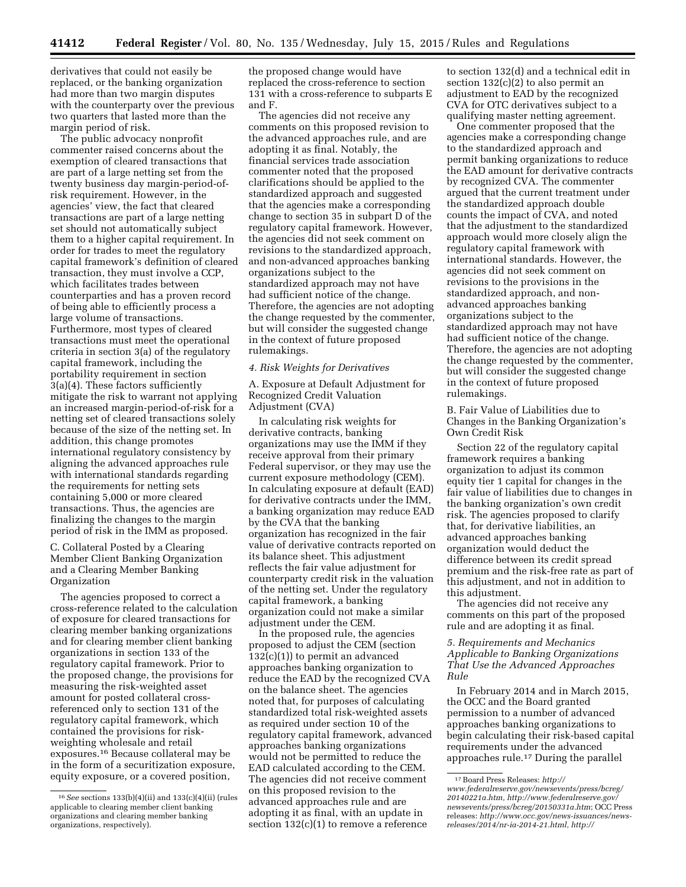derivatives that could not easily be replaced, or the banking organization had more than two margin disputes with the counterparty over the previous two quarters that lasted more than the margin period of risk.

The public advocacy nonprofit commenter raised concerns about the exemption of cleared transactions that are part of a large netting set from the twenty business day margin-period-ofrisk requirement. However, in the agencies' view, the fact that cleared transactions are part of a large netting set should not automatically subject them to a higher capital requirement. In order for trades to meet the regulatory capital framework's definition of cleared transaction, they must involve a CCP, which facilitates trades between counterparties and has a proven record of being able to efficiently process a large volume of transactions. Furthermore, most types of cleared transactions must meet the operational criteria in section 3(a) of the regulatory capital framework, including the portability requirement in section 3(a)(4). These factors sufficiently mitigate the risk to warrant not applying an increased margin-period-of-risk for a netting set of cleared transactions solely because of the size of the netting set. In addition, this change promotes international regulatory consistency by aligning the advanced approaches rule with international standards regarding the requirements for netting sets containing 5,000 or more cleared transactions. Thus, the agencies are finalizing the changes to the margin period of risk in the IMM as proposed.

# C. Collateral Posted by a Clearing Member Client Banking Organization and a Clearing Member Banking Organization

The agencies proposed to correct a cross-reference related to the calculation of exposure for cleared transactions for clearing member banking organizations and for clearing member client banking organizations in section 133 of the regulatory capital framework. Prior to the proposed change, the provisions for measuring the risk-weighted asset amount for posted collateral crossreferenced only to section 131 of the regulatory capital framework, which contained the provisions for riskweighting wholesale and retail exposures.16 Because collateral may be in the form of a securitization exposure, equity exposure, or a covered position,

the proposed change would have replaced the cross-reference to section 131 with a cross-reference to subparts E and F.

The agencies did not receive any comments on this proposed revision to the advanced approaches rule, and are adopting it as final. Notably, the financial services trade association commenter noted that the proposed clarifications should be applied to the standardized approach and suggested that the agencies make a corresponding change to section 35 in subpart D of the regulatory capital framework. However, the agencies did not seek comment on revisions to the standardized approach, and non-advanced approaches banking organizations subject to the standardized approach may not have had sufficient notice of the change. Therefore, the agencies are not adopting the change requested by the commenter, but will consider the suggested change in the context of future proposed rulemakings.

#### *4. Risk Weights for Derivatives*

A. Exposure at Default Adjustment for Recognized Credit Valuation Adjustment (CVA)

In calculating risk weights for derivative contracts, banking organizations may use the IMM if they receive approval from their primary Federal supervisor, or they may use the current exposure methodology (CEM). In calculating exposure at default (EAD) for derivative contracts under the IMM, a banking organization may reduce EAD by the CVA that the banking organization has recognized in the fair value of derivative contracts reported on its balance sheet. This adjustment reflects the fair value adjustment for counterparty credit risk in the valuation of the netting set. Under the regulatory capital framework, a banking organization could not make a similar adjustment under the CEM.

In the proposed rule, the agencies proposed to adjust the CEM (section 132(c)(1)) to permit an advanced approaches banking organization to reduce the EAD by the recognized CVA on the balance sheet. The agencies noted that, for purposes of calculating standardized total risk-weighted assets as required under section 10 of the regulatory capital framework, advanced approaches banking organizations would not be permitted to reduce the EAD calculated according to the CEM. The agencies did not receive comment on this proposed revision to the advanced approaches rule and are adopting it as final, with an update in section  $132(c)(1)$  to remove a reference

to section 132(d) and a technical edit in section 132(c)(2) to also permit an adjustment to EAD by the recognized CVA for OTC derivatives subject to a qualifying master netting agreement.

One commenter proposed that the agencies make a corresponding change to the standardized approach and permit banking organizations to reduce the EAD amount for derivative contracts by recognized CVA. The commenter argued that the current treatment under the standardized approach double counts the impact of CVA, and noted that the adjustment to the standardized approach would more closely align the regulatory capital framework with international standards. However, the agencies did not seek comment on revisions to the provisions in the standardized approach, and nonadvanced approaches banking organizations subject to the standardized approach may not have had sufficient notice of the change. Therefore, the agencies are not adopting the change requested by the commenter, but will consider the suggested change in the context of future proposed rulemakings.

B. Fair Value of Liabilities due to Changes in the Banking Organization's Own Credit Risk

Section 22 of the regulatory capital framework requires a banking organization to adjust its common equity tier 1 capital for changes in the fair value of liabilities due to changes in the banking organization's own credit risk. The agencies proposed to clarify that, for derivative liabilities, an advanced approaches banking organization would deduct the difference between its credit spread premium and the risk-free rate as part of this adjustment, and not in addition to this adjustment.

The agencies did not receive any comments on this part of the proposed rule and are adopting it as final.

*5. Requirements and Mechanics Applicable to Banking Organizations That Use the Advanced Approaches Rule* 

In February 2014 and in March 2015, the OCC and the Board granted permission to a number of advanced approaches banking organizations to begin calculating their risk-based capital requirements under the advanced approaches rule.17 During the parallel

<sup>16</sup>*See* sections 133(b)(4)(ii) and 133(c)(4)(ii) (rules applicable to clearing member client banking organizations and clearing member banking organizations, respectively).

<sup>17</sup>Board Press Releases: *[http://](http://www.federalreserve.gov/newsevents/press/bcreg/20140221a.htm) [www.federalreserve.gov/newsevents/press/bcreg/](http://www.federalreserve.gov/newsevents/press/bcreg/20140221a.htm) [20140221a.htm,](http://www.federalreserve.gov/newsevents/press/bcreg/20140221a.htm) [http://www.federalreserve.gov/](http://www.federalreserve.gov/newsevents/press/bcreg/20150331a.htm)  [newsevents/press/bcreg/20150331a.htm](http://www.federalreserve.gov/newsevents/press/bcreg/20150331a.htm)*; OCC Press releases: *[http://www.occ.gov/news-issuances/news](http://www.occ.gov/news-issuances/news-releases/2014/nr-ia-2014-21.html)[releases/2014/nr-ia-2014-21.html,](http://www.occ.gov/news-issuances/news-releases/2014/nr-ia-2014-21.html) [http://](http://www.occ.gov/news-issuances/news-releases/2015/nr-ia-2015-47.html)*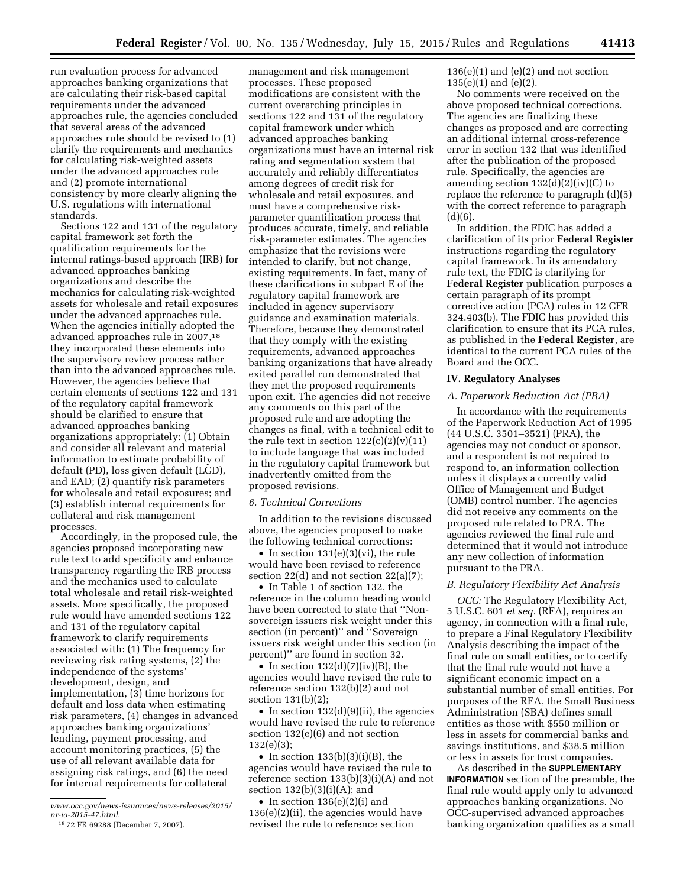run evaluation process for advanced approaches banking organizations that are calculating their risk-based capital requirements under the advanced approaches rule, the agencies concluded that several areas of the advanced approaches rule should be revised to (1) clarify the requirements and mechanics for calculating risk-weighted assets under the advanced approaches rule and (2) promote international consistency by more clearly aligning the U.S. regulations with international standards.

Sections 122 and 131 of the regulatory capital framework set forth the qualification requirements for the internal ratings-based approach (IRB) for advanced approaches banking organizations and describe the mechanics for calculating risk-weighted assets for wholesale and retail exposures under the advanced approaches rule. When the agencies initially adopted the advanced approaches rule in 2007,18 they incorporated these elements into the supervisory review process rather than into the advanced approaches rule. However, the agencies believe that certain elements of sections 122 and 131 of the regulatory capital framework should be clarified to ensure that advanced approaches banking organizations appropriately: (1) Obtain and consider all relevant and material information to estimate probability of default (PD), loss given default (LGD), and EAD; (2) quantify risk parameters for wholesale and retail exposures; and (3) establish internal requirements for collateral and risk management processes.

Accordingly, in the proposed rule, the agencies proposed incorporating new rule text to add specificity and enhance transparency regarding the IRB process and the mechanics used to calculate total wholesale and retail risk-weighted assets. More specifically, the proposed rule would have amended sections 122 and 131 of the regulatory capital framework to clarify requirements associated with: (1) The frequency for reviewing risk rating systems, (2) the independence of the systems' development, design, and implementation, (3) time horizons for default and loss data when estimating risk parameters, (4) changes in advanced approaches banking organizations' lending, payment processing, and account monitoring practices, (5) the use of all relevant available data for assigning risk ratings, and (6) the need for internal requirements for collateral

management and risk management processes. These proposed modifications are consistent with the current overarching principles in sections 122 and 131 of the regulatory capital framework under which advanced approaches banking organizations must have an internal risk rating and segmentation system that accurately and reliably differentiates among degrees of credit risk for wholesale and retail exposures, and must have a comprehensive riskparameter quantification process that produces accurate, timely, and reliable risk-parameter estimates. The agencies emphasize that the revisions were intended to clarify, but not change, existing requirements. In fact, many of these clarifications in subpart E of the regulatory capital framework are included in agency supervisory guidance and examination materials. Therefore, because they demonstrated that they comply with the existing requirements, advanced approaches banking organizations that have already exited parallel run demonstrated that they met the proposed requirements upon exit. The agencies did not receive any comments on this part of the proposed rule and are adopting the changes as final, with a technical edit to the rule text in section  $122(c)(2)(v)(11)$ to include language that was included in the regulatory capital framework but inadvertently omitted from the proposed revisions.

#### *6. Technical Corrections*

In addition to the revisions discussed above, the agencies proposed to make the following technical corrections:

• In section  $131(e)(3)(vi)$ , the rule would have been revised to reference section 22(d) and not section 22(a)(7);

• In Table 1 of section 132, the reference in the column heading would have been corrected to state that ''Nonsovereign issuers risk weight under this section (in percent)'' and ''Sovereign issuers risk weight under this section (in percent)'' are found in section 32.

• In section  $132(d)(7)(iv)(B)$ , the agencies would have revised the rule to reference section 132(b)(2) and not section 131(b)(2);

• In section 132(d)(9)(ii), the agencies would have revised the rule to reference section 132(e)(6) and not section 132(e)(3);

• In section  $133(b)(3)(i)(B)$ , the agencies would have revised the rule to reference section 133(b)(3)(i)(A) and not section  $132(b)(3)(i)(A)$ ; and

• In section 136(e)(2)(i) and  $136(e)(2)(ii)$ , the agencies would have revised the rule to reference section

 $136(e)(1)$  and  $(e)(2)$  and not section 135(e)(1) and (e)(2).

No comments were received on the above proposed technical corrections. The agencies are finalizing these changes as proposed and are correcting an additional internal cross-reference error in section 132 that was identified after the publication of the proposed rule. Specifically, the agencies are amending section 132(d)(2)(iv)(C) to replace the reference to paragraph (d)(5) with the correct reference to paragraph  $(d)(6)$ .

In addition, the FDIC has added a clarification of its prior **Federal Register**  instructions regarding the regulatory capital framework. In its amendatory rule text, the FDIC is clarifying for **Federal Register** publication purposes a certain paragraph of its prompt corrective action (PCA) rules in 12 CFR 324.403(b). The FDIC has provided this clarification to ensure that its PCA rules, as published in the **Federal Register**, are identical to the current PCA rules of the Board and the OCC.

#### **IV. Regulatory Analyses**

#### *A. Paperwork Reduction Act (PRA)*

In accordance with the requirements of the Paperwork Reduction Act of 1995 (44 U.S.C. 3501–3521) (PRA), the agencies may not conduct or sponsor, and a respondent is not required to respond to, an information collection unless it displays a currently valid Office of Management and Budget (OMB) control number. The agencies did not receive any comments on the proposed rule related to PRA. The agencies reviewed the final rule and determined that it would not introduce any new collection of information pursuant to the PRA.

#### *B. Regulatory Flexibility Act Analysis*

*OCC:* The Regulatory Flexibility Act, 5 U.S.C. 601 *et seq.* (RFA), requires an agency, in connection with a final rule, to prepare a Final Regulatory Flexibility Analysis describing the impact of the final rule on small entities, or to certify that the final rule would not have a significant economic impact on a substantial number of small entities. For purposes of the RFA, the Small Business Administration (SBA) defines small entities as those with \$550 million or less in assets for commercial banks and savings institutions, and \$38.5 million or less in assets for trust companies.

As described in the **SUPPLEMENTARY INFORMATION** section of the preamble, the final rule would apply only to advanced approaches banking organizations. No OCC-supervised advanced approaches banking organization qualifies as a small

*[www.occ.gov/news-issuances/news-releases/2015/](http://www.occ.gov/news-issuances/news-releases/2015/nr-ia-2015-47.html)  [nr-ia-2015-47.html](http://www.occ.gov/news-issuances/news-releases/2015/nr-ia-2015-47.html)*.

<sup>18</sup> 72 FR 69288 (December 7, 2007).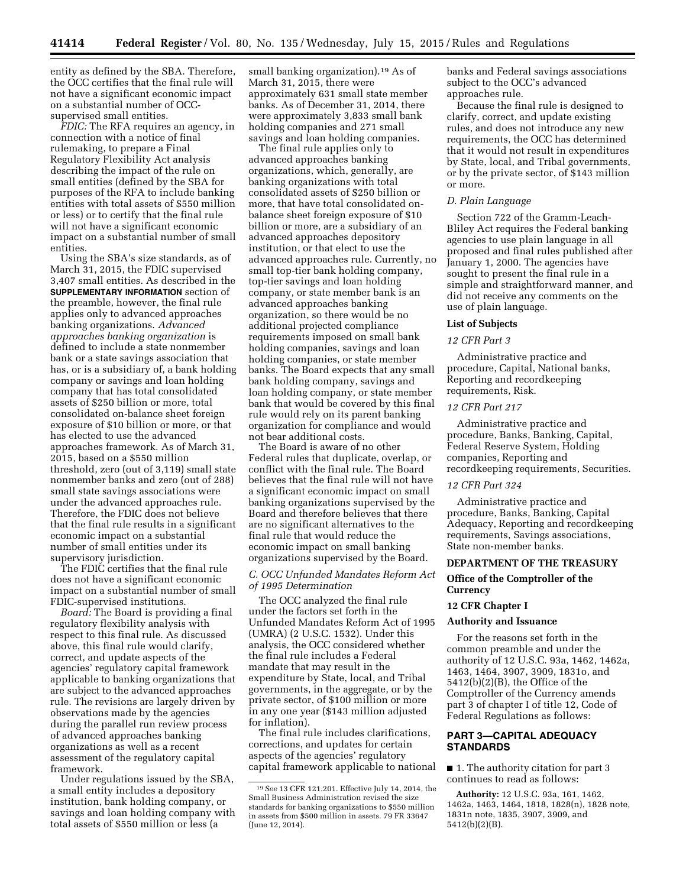entity as defined by the SBA. Therefore, the OCC certifies that the final rule will not have a significant economic impact on a substantial number of OCCsupervised small entities.

*FDIC:* The RFA requires an agency, in connection with a notice of final rulemaking, to prepare a Final Regulatory Flexibility Act analysis describing the impact of the rule on small entities (defined by the SBA for purposes of the RFA to include banking entities with total assets of \$550 million or less) or to certify that the final rule will not have a significant economic impact on a substantial number of small entities.

Using the SBA's size standards, as of March 31, 2015, the FDIC supervised 3,407 small entities. As described in the **SUPPLEMENTARY INFORMATION** section of the preamble, however, the final rule applies only to advanced approaches banking organizations. *Advanced approaches banking organization* is defined to include a state nonmember bank or a state savings association that has, or is a subsidiary of, a bank holding company or savings and loan holding company that has total consolidated assets of \$250 billion or more, total consolidated on-balance sheet foreign exposure of \$10 billion or more, or that has elected to use the advanced approaches framework. As of March 31, 2015, based on a \$550 million threshold, zero (out of 3,119) small state nonmember banks and zero (out of 288) small state savings associations were under the advanced approaches rule. Therefore, the FDIC does not believe that the final rule results in a significant economic impact on a substantial number of small entities under its supervisory jurisdiction.

The FDIC certifies that the final rule does not have a significant economic impact on a substantial number of small FDIC-supervised institutions.

*Board:* The Board is providing a final regulatory flexibility analysis with respect to this final rule. As discussed above, this final rule would clarify, correct, and update aspects of the agencies' regulatory capital framework applicable to banking organizations that are subject to the advanced approaches rule. The revisions are largely driven by observations made by the agencies during the parallel run review process of advanced approaches banking organizations as well as a recent assessment of the regulatory capital framework.

Under regulations issued by the SBA, a small entity includes a depository institution, bank holding company, or savings and loan holding company with total assets of \$550 million or less (a

small banking organization).19 As of March 31, 2015, there were approximately 631 small state member banks. As of December 31, 2014, there were approximately 3,833 small bank holding companies and 271 small savings and loan holding companies.

The final rule applies only to advanced approaches banking organizations, which, generally, are banking organizations with total consolidated assets of \$250 billion or more, that have total consolidated onbalance sheet foreign exposure of \$10 billion or more, are a subsidiary of an advanced approaches depository institution, or that elect to use the advanced approaches rule. Currently, no small top-tier bank holding company, top-tier savings and loan holding company, or state member bank is an advanced approaches banking organization, so there would be no additional projected compliance requirements imposed on small bank holding companies, savings and loan holding companies, or state member banks. The Board expects that any small bank holding company, savings and loan holding company, or state member bank that would be covered by this final rule would rely on its parent banking organization for compliance and would not bear additional costs.

The Board is aware of no other Federal rules that duplicate, overlap, or conflict with the final rule. The Board believes that the final rule will not have a significant economic impact on small banking organizations supervised by the Board and therefore believes that there are no significant alternatives to the final rule that would reduce the economic impact on small banking organizations supervised by the Board.

# *C. OCC Unfunded Mandates Reform Act of 1995 Determination*

The OCC analyzed the final rule under the factors set forth in the Unfunded Mandates Reform Act of 1995 (UMRA) (2 U.S.C. 1532). Under this analysis, the OCC considered whether the final rule includes a Federal mandate that may result in the expenditure by State, local, and Tribal governments, in the aggregate, or by the private sector, of \$100 million or more in any one year (\$143 million adjusted for inflation).

The final rule includes clarifications, corrections, and updates for certain aspects of the agencies' regulatory capital framework applicable to national banks and Federal savings associations subject to the OCC's advanced approaches rule.

Because the final rule is designed to clarify, correct, and update existing rules, and does not introduce any new requirements, the OCC has determined that it would not result in expenditures by State, local, and Tribal governments, or by the private sector, of \$143 million or more.

## *D. Plain Language*

Section 722 of the Gramm-Leach-Bliley Act requires the Federal banking agencies to use plain language in all proposed and final rules published after January 1, 2000. The agencies have sought to present the final rule in a simple and straightforward manner, and did not receive any comments on the use of plain language.

#### **List of Subjects**

#### *12 CFR Part 3*

Administrative practice and procedure, Capital, National banks, Reporting and recordkeeping requirements, Risk.

# *12 CFR Part 217*

Administrative practice and procedure, Banks, Banking, Capital, Federal Reserve System, Holding companies, Reporting and recordkeeping requirements, Securities.

# *12 CFR Part 324*

Administrative practice and procedure, Banks, Banking, Capital Adequacy, Reporting and recordkeeping requirements, Savings associations, State non-member banks.

#### **DEPARTMENT OF THE TREASURY**

# **Office of the Comptroller of the Currency**

#### **12 CFR Chapter I**

#### **Authority and Issuance**

For the reasons set forth in the common preamble and under the authority of 12 U.S.C. 93a, 1462, 1462a, 1463, 1464, 3907, 3909, 1831o, and 5412(b)(2)(B), the Office of the Comptroller of the Currency amends part 3 of chapter I of title 12, Code of Federal Regulations as follows:

# **PART 3—CAPITAL ADEQUACY STANDARDS**

■ 1. The authority citation for part 3 continues to read as follows:

**Authority:** 12 U.S.C. 93a, 161, 1462, 1462a, 1463, 1464, 1818, 1828(n), 1828 note, 1831n note, 1835, 3907, 3909, and 5412(b)(2)(B).

<sup>19</sup>*See* 13 CFR 121.201. Effective July 14, 2014, the Small Business Administration revised the size standards for banking organizations to \$550 million in assets from \$500 million in assets. 79 FR 33647 (June 12, 2014).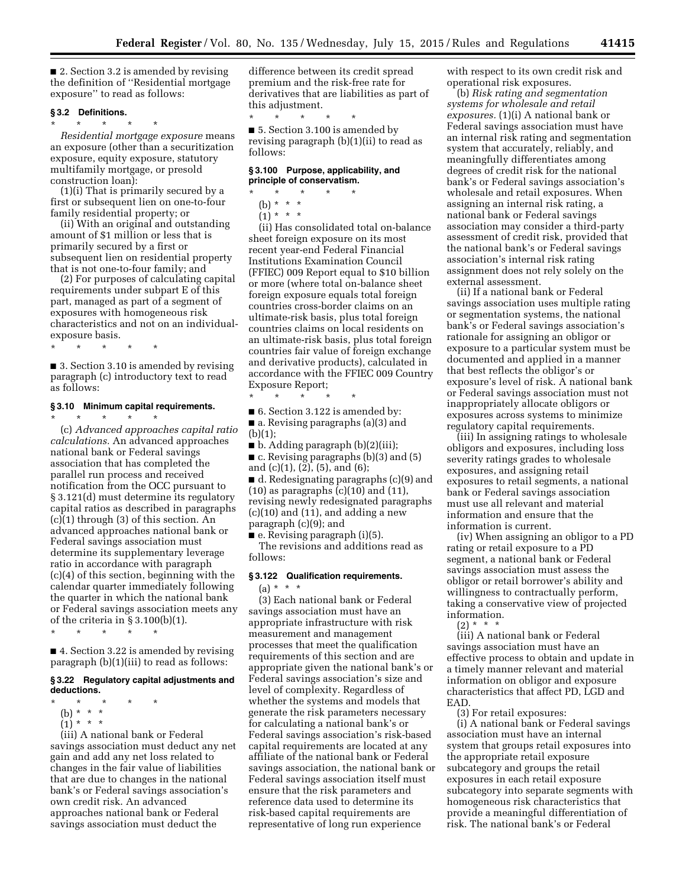■ 2. Section 3.2 is amended by revising the definition of ''Residential mortgage exposure'' to read as follows:

# **§ 3.2 Definitions.**

\* \* \* \* \* *Residential mortgage exposure* means an exposure (other than a securitization exposure, equity exposure, statutory multifamily mortgage, or presold construction loan):

(1)(i) That is primarily secured by a first or subsequent lien on one-to-four family residential property; or

(ii) With an original and outstanding amount of \$1 million or less that is primarily secured by a first or subsequent lien on residential property that is not one-to-four family; and

(2) For purposes of calculating capital requirements under subpart E of this part, managed as part of a segment of exposures with homogeneous risk characteristics and not on an individualexposure basis.

\* \* \* \* \*

■ 3. Section 3.10 is amended by revising paragraph (c) introductory text to read as follows:

# **§ 3.10 Minimum capital requirements.**

\* \* \* \* \* (c) *Advanced approaches capital ratio calculations.* An advanced approaches national bank or Federal savings association that has completed the parallel run process and received notification from the OCC pursuant to § 3.121(d) must determine its regulatory capital ratios as described in paragraphs (c)(1) through (3) of this section. An advanced approaches national bank or Federal savings association must determine its supplementary leverage ratio in accordance with paragraph (c)(4) of this section, beginning with the calendar quarter immediately following the quarter in which the national bank or Federal savings association meets any of the criteria in  $\S 3.100(b)(1)$ .

\* \* \* \* \*

■ 4. Section 3.22 is amended by revising paragraph (b)(1)(iii) to read as follows:

#### **§ 3.22 Regulatory capital adjustments and deductions.**

- \* \* \* \* \*
- (b) \* \* \*
- $(1) * * * *$

(iii) A national bank or Federal savings association must deduct any net gain and add any net loss related to changes in the fair value of liabilities that are due to changes in the national bank's or Federal savings association's own credit risk. An advanced approaches national bank or Federal savings association must deduct the

difference between its credit spread premium and the risk-free rate for derivatives that are liabilities as part of this adjustment.

\* \* \* \* \* ■ 5. Section 3.100 is amended by revising paragraph (b)(1)(ii) to read as follows:

#### **§ 3.100 Purpose, applicability, and principle of conservatism.**

- $\star$   $\star$   $\star$
- (b) \* \* \*  $(1) * * * *$

(ii) Has consolidated total on-balance sheet foreign exposure on its most recent year-end Federal Financial Institutions Examination Council (FFIEC) 009 Report equal to \$10 billion or more (where total on-balance sheet foreign exposure equals total foreign countries cross-border claims on an ultimate-risk basis, plus total foreign countries claims on local residents on an ultimate-risk basis, plus total foreign countries fair value of foreign exchange and derivative products), calculated in accordance with the FFIEC 009 Country Exposure Report;

\* \* \* \* \*

■ 6. Section 3.122 is amended by: ■ a. Revising paragraphs (a)(3) and  $(b)(1);$ 

■ b. Adding paragraph (b)(2)(iii);

■ c. Revising paragraphs (b)(3) and (5) and (c)(1), (2), (5), and (6);

■ d. Redesignating paragraphs (c)(9) and  $(10)$  as paragraphs  $(c)(10)$  and  $(11)$ , revising newly redesignated paragraphs  $(c)(10)$  and  $(11)$ , and adding a new paragraph (c)(9); and

 $\blacksquare$  e. Revising paragraph (i)(5).

The revisions and additions read as follows:

# **§ 3.122 Qualification requirements.**

 $(a) * * * *$ 

(3) Each national bank or Federal savings association must have an appropriate infrastructure with risk measurement and management processes that meet the qualification requirements of this section and are appropriate given the national bank's or Federal savings association's size and level of complexity. Regardless of whether the systems and models that generate the risk parameters necessary for calculating a national bank's or Federal savings association's risk-based capital requirements are located at any affiliate of the national bank or Federal savings association, the national bank or Federal savings association itself must ensure that the risk parameters and reference data used to determine its risk-based capital requirements are representative of long run experience

with respect to its own credit risk and operational risk exposures.

(b) *Risk rating and segmentation systems for wholesale and retail exposures.* (1)(i) A national bank or Federal savings association must have an internal risk rating and segmentation system that accurately, reliably, and meaningfully differentiates among degrees of credit risk for the national bank's or Federal savings association's wholesale and retail exposures. When assigning an internal risk rating, a national bank or Federal savings association may consider a third-party assessment of credit risk, provided that the national bank's or Federal savings association's internal risk rating assignment does not rely solely on the external assessment.

(ii) If a national bank or Federal savings association uses multiple rating or segmentation systems, the national bank's or Federal savings association's rationale for assigning an obligor or exposure to a particular system must be documented and applied in a manner that best reflects the obligor's or exposure's level of risk. A national bank or Federal savings association must not inappropriately allocate obligors or exposures across systems to minimize regulatory capital requirements.

(iii) In assigning ratings to wholesale obligors and exposures, including loss severity ratings grades to wholesale exposures, and assigning retail exposures to retail segments, a national bank or Federal savings association must use all relevant and material information and ensure that the information is current.

(iv) When assigning an obligor to a PD rating or retail exposure to a PD segment, a national bank or Federal savings association must assess the obligor or retail borrower's ability and willingness to contractually perform, taking a conservative view of projected information.

 $(2) * * *$ 

(iii) A national bank or Federal savings association must have an effective process to obtain and update in a timely manner relevant and material information on obligor and exposure characteristics that affect PD, LGD and EAD.

(3) For retail exposures:

(i) A national bank or Federal savings association must have an internal system that groups retail exposures into the appropriate retail exposure subcategory and groups the retail exposures in each retail exposure subcategory into separate segments with homogeneous risk characteristics that provide a meaningful differentiation of risk. The national bank's or Federal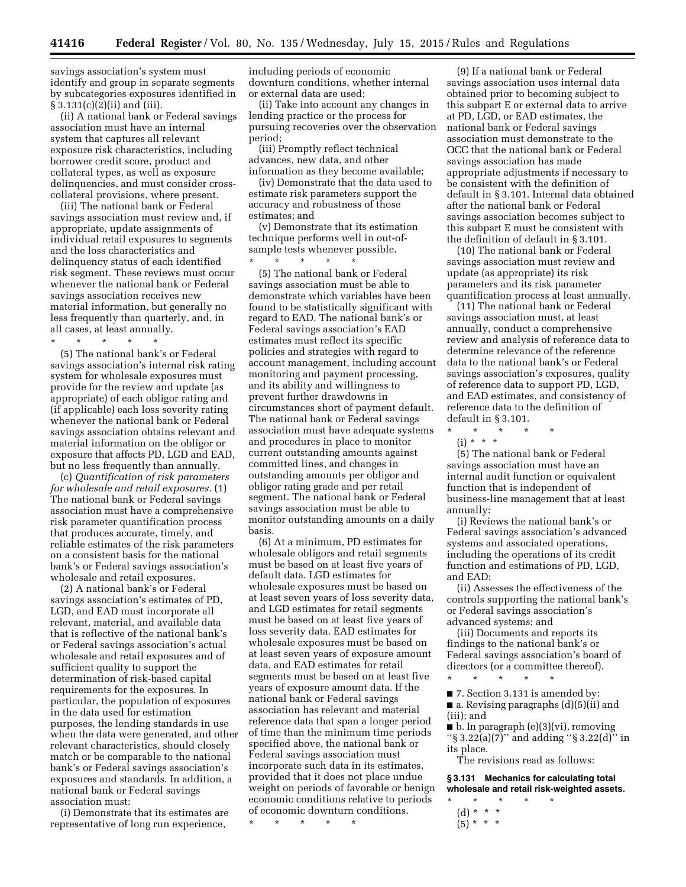savings association's system must identify and group in separate segments by subcategories exposures identified in  $\S 3.131(c)(2)(ii)$  and (iii).

(ii) A national bank or Federal savings association must have an internal system that captures all relevant exposure risk characteristics, including borrower credit score, product and collateral types, as well as exposure delinquencies, and must consider crosscollateral provisions, where present.

(iii) The national bank or Federal savings association must review and, if appropriate, update assignments of individual retail exposures to segments and the loss characteristics and delinquency status of each identified risk segment. These reviews must occur whenever the national bank or Federal savings association receives new material information, but generally no less frequently than quarterly, and, in all cases, at least annually.

\* \* \* \* \*

(5) The national bank's or Federal savings association's internal risk rating system for wholesale exposures must provide for the review and update (as appropriate) of each obligor rating and (if applicable) each loss severity rating whenever the national bank or Federal savings association obtains relevant and material information on the obligor or exposure that affects PD, LGD and EAD, but no less frequently than annually.

(c) *Quantification of risk parameters for wholesale and retail exposures.* (1) The national bank or Federal savings association must have a comprehensive risk parameter quantification process that produces accurate, timely, and reliable estimates of the risk parameters on a consistent basis for the national bank's or Federal savings association's wholesale and retail exposures.

(2) A national bank's or Federal savings association's estimates of PD, LGD, and EAD must incorporate all relevant, material, and available data that is reflective of the national bank's or Federal savings association's actual wholesale and retail exposures and of sufficient quality to support the determination of risk-based capital requirements for the exposures. In particular, the population of exposures in the data used for estimation purposes, the lending standards in use when the data were generated, and other relevant characteristics, should closely match or be comparable to the national bank's or Federal savings association's exposures and standards. In addition, a national bank or Federal savings association must:

(i) Demonstrate that its estimates are representative of long run experience,

including periods of economic downturn conditions, whether internal or external data are used;

(ii) Take into account any changes in lending practice or the process for pursuing recoveries over the observation period;

(iii) Promptly reflect technical advances, new data, and other information as they become available;

(iv) Demonstrate that the data used to estimate risk parameters support the accuracy and robustness of those estimates; and

(v) Demonstrate that its estimation technique performs well in out-ofsample tests whenever possible.

\* \* \* \* \*

(5) The national bank or Federal savings association must be able to demonstrate which variables have been found to be statistically significant with regard to EAD. The national bank's or Federal savings association's EAD estimates must reflect its specific policies and strategies with regard to account management, including account monitoring and payment processing, and its ability and willingness to prevent further drawdowns in circumstances short of payment default. The national bank or Federal savings association must have adequate systems and procedures in place to monitor current outstanding amounts against committed lines, and changes in outstanding amounts per obligor and obligor rating grade and per retail segment. The national bank or Federal savings association must be able to monitor outstanding amounts on a daily basis.

(6) At a minimum, PD estimates for wholesale obligors and retail segments must be based on at least five years of default data. LGD estimates for wholesale exposures must be based on at least seven years of loss severity data, and LGD estimates for retail segments must be based on at least five years of loss severity data. EAD estimates for wholesale exposures must be based on at least seven years of exposure amount data, and EAD estimates for retail segments must be based on at least five years of exposure amount data. If the national bank or Federal savings association has relevant and material reference data that span a longer period of time than the minimum time periods specified above, the national bank or Federal savings association must incorporate such data in its estimates, provided that it does not place undue weight on periods of favorable or benign economic conditions relative to periods of economic downturn conditions.

\* \* \* \* \*

(9) If a national bank or Federal savings association uses internal data obtained prior to becoming subject to this subpart E or external data to arrive at PD, LGD, or EAD estimates, the national bank or Federal savings association must demonstrate to the OCC that the national bank or Federal savings association has made appropriate adjustments if necessary to be consistent with the definition of default in § 3.101. Internal data obtained after the national bank or Federal savings association becomes subject to this subpart E must be consistent with the definition of default in § 3.101.

(10) The national bank or Federal savings association must review and update (as appropriate) its risk parameters and its risk parameter quantification process at least annually.

(11) The national bank or Federal savings association must, at least annually, conduct a comprehensive review and analysis of reference data to determine relevance of the reference data to the national bank's or Federal savings association's exposures, quality of reference data to support PD, LGD, and EAD estimates, and consistency of reference data to the definition of default in § 3.101.

\* \* \* \* \*  $(i) * * * *$ 

(5) The national bank or Federal savings association must have an internal audit function or equivalent function that is independent of business-line management that at least annually:

(i) Reviews the national bank's or Federal savings association's advanced systems and associated operations, including the operations of its credit function and estimations of PD, LGD, and EAD;

(ii) Assesses the effectiveness of the controls supporting the national bank's or Federal savings association's advanced systems; and

(iii) Documents and reports its findings to the national bank's or Federal savings association's board of directors (or a committee thereof).

■ 7. Section 3.131 is amended by: ■ a. Revising paragraphs (d)(5)(ii) and (iii); and

\* \* \* \* \*

 $\blacksquare$  b. In paragraph (e)(3)(vi), removing " $\frac{1}{5}$  3.22(a)(7)" and adding " $\frac{1}{5}$  3.22(d)" in its place.

The revisions read as follows:

**§ 3.131 Mechanics for calculating total wholesale and retail risk-weighted assets.** 

- \* \* \* \* \* (d) \* \* \*
- $(5) * * * *$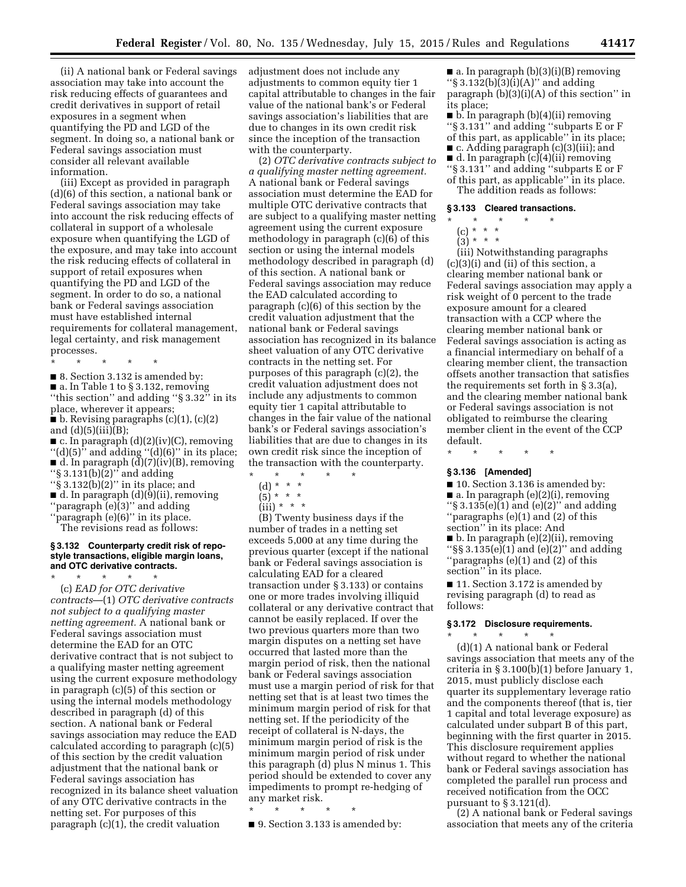(ii) A national bank or Federal savings association may take into account the risk reducing effects of guarantees and credit derivatives in support of retail exposures in a segment when quantifying the PD and LGD of the segment. In doing so, a national bank or Federal savings association must consider all relevant available information.

(iii) Except as provided in paragraph (d)(6) of this section, a national bank or Federal savings association may take into account the risk reducing effects of collateral in support of a wholesale exposure when quantifying the LGD of the exposure, and may take into account the risk reducing effects of collateral in support of retail exposures when quantifying the PD and LGD of the segment. In order to do so, a national bank or Federal savings association must have established internal requirements for collateral management, legal certainty, and risk management processes.

\* \* \* \* \*

■ 8. Section 3.132 is amended by:  $\blacksquare$  a. In Table 1 to § 3.132, removing ''this section'' and adding ''§ 3.32'' in its place, wherever it appears;

 $\bullet$  b. Revising paragraphs (c)(1), (c)(2) and  $(d)(5)(iii)(B);$ 

■ c. In paragraph (d)(2)(iv)(C), removing  $''(d)(5)''$  and adding  $''(d)(6)''$  in its place;  $\blacksquare$  d. In paragraph  $(d)(7)(iv)(B)$ , removing ''§ 3.131(b)(2)'' and adding

- ''§ 3.132(b)(2)'' in its place; and ■ d. In paragraph (d)(9)(ii), removing ''paragraph (e)(3)'' and adding
- ''paragraph (e)(6)'' in its place.

The revisions read as follows:

#### **§ 3.132 Counterparty credit risk of repostyle transactions, eligible margin loans, and OTC derivative contracts.**

\* \* \* \* \* (c) *EAD for OTC derivative contracts*—(1) *OTC derivative contracts not subject to a qualifying master netting agreement.* A national bank or Federal savings association must determine the EAD for an OTC derivative contract that is not subject to a qualifying master netting agreement using the current exposure methodology in paragraph (c)(5) of this section or using the internal models methodology described in paragraph (d) of this section. A national bank or Federal savings association may reduce the EAD calculated according to paragraph (c)(5) of this section by the credit valuation adjustment that the national bank or Federal savings association has recognized in its balance sheet valuation of any OTC derivative contracts in the netting set. For purposes of this paragraph (c)(1), the credit valuation

adjustment does not include any adjustments to common equity tier 1 capital attributable to changes in the fair value of the national bank's or Federal savings association's liabilities that are due to changes in its own credit risk since the inception of the transaction with the counterparty.

(2) *OTC derivative contracts subject to a qualifying master netting agreement.*  A national bank or Federal savings association must determine the EAD for multiple OTC derivative contracts that are subject to a qualifying master netting agreement using the current exposure methodology in paragraph (c)(6) of this section or using the internal models methodology described in paragraph (d) of this section. A national bank or Federal savings association may reduce the EAD calculated according to paragraph (c)(6) of this section by the credit valuation adjustment that the national bank or Federal savings association has recognized in its balance sheet valuation of any OTC derivative contracts in the netting set. For purposes of this paragraph (c)(2), the credit valuation adjustment does not include any adjustments to common equity tier 1 capital attributable to changes in the fair value of the national bank's or Federal savings association's liabilities that are due to changes in its own credit risk since the inception of the transaction with the counterparty.

- \* \* \* \* \*
	- (d) \* \* \*
	- $(5)^{*}$  \* \*
	- $(iii) * * * *$

(B) Twenty business days if the number of trades in a netting set exceeds 5,000 at any time during the previous quarter (except if the national bank or Federal savings association is calculating EAD for a cleared transaction under § 3.133) or contains one or more trades involving illiquid collateral or any derivative contract that cannot be easily replaced. If over the two previous quarters more than two margin disputes on a netting set have occurred that lasted more than the margin period of risk, then the national bank or Federal savings association must use a margin period of risk for that netting set that is at least two times the minimum margin period of risk for that netting set. If the periodicity of the receipt of collateral is N-days, the minimum margin period of risk is the minimum margin period of risk under this paragraph (d) plus N minus 1. This period should be extended to cover any impediments to prompt re-hedging of any market risk.

\* \* \* \* \*

■ 9. Section 3.133 is amended by:

 $\blacksquare$  a. In paragraph (b)(3)(i)(B) removing ''§ 3.132(b)(3)(i)(A)'' and adding paragraph (b)(3)(i)(A) of this section'' in its place;

■ b. In paragraph (b)(4)(ii) removing ''§ 3.131'' and adding ''subparts E or F of this part, as applicable'' in its place; ■ c. Adding paragraph (c)(3)(iii); and ■ d. In paragraph (c)(4)(ii) removing ''§ 3.131'' and adding ''subparts E or F of this part, as applicable'' in its place.

The addition reads as follows:

# **§ 3.133 Cleared transactions.**

- \* \* \* \* \*
	- $(c) * * * *$  $(3) * * * *$
	-

(iii) Notwithstanding paragraphs (c)(3)(i) and (ii) of this section, a clearing member national bank or Federal savings association may apply a risk weight of 0 percent to the trade exposure amount for a cleared transaction with a CCP where the clearing member national bank or Federal savings association is acting as a financial intermediary on behalf of a clearing member client, the transaction offsets another transaction that satisfies the requirements set forth in § 3.3(a), and the clearing member national bank or Federal savings association is not obligated to reimburse the clearing member client in the event of the CCP default.

\* \* \* \* \*

# **§ 3.136 [Amended]**

■ 10. Section 3.136 is amended by:

- a. In paragraph (e)(2)(i), removing " $\S$  3.135(e)(1) and (e)(2)" and adding ''paragraphs (e)(1) and (2) of this
- section'' in its place: And ■ b. In paragraph (e)(2)(ii), removing ''§§ 3.135(e)(1) and (e)(2)'' and adding ''paragraphs (e)(1) and (2) of this section" in its place.

■ 11. Section 3.172 is amended by revising paragraph (d) to read as follows:

#### **§ 3.172 Disclosure requirements.**  \* \* \* \* \*

(d)(1) A national bank or Federal savings association that meets any of the criteria in § 3.100(b)(1) before January 1, 2015, must publicly disclose each quarter its supplementary leverage ratio and the components thereof (that is, tier 1 capital and total leverage exposure) as calculated under subpart B of this part, beginning with the first quarter in 2015. This disclosure requirement applies without regard to whether the national bank or Federal savings association has completed the parallel run process and received notification from the OCC pursuant to § 3.121(d).

(2) A national bank or Federal savings association that meets any of the criteria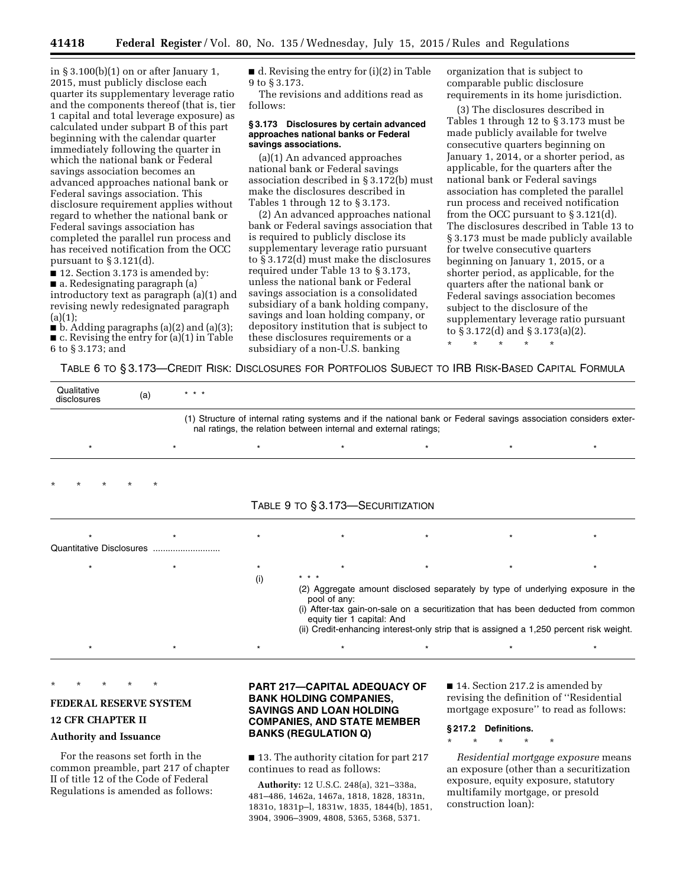in § 3.100(b)(1) on or after January 1, 2015, must publicly disclose each quarter its supplementary leverage ratio and the components thereof (that is, tier 1 capital and total leverage exposure) as calculated under subpart B of this part beginning with the calendar quarter immediately following the quarter in which the national bank or Federal savings association becomes an advanced approaches national bank or Federal savings association. This disclosure requirement applies without regard to whether the national bank or Federal savings association has completed the parallel run process and has received notification from the OCC pursuant to § 3.121(d).

■ 12. Section 3.173 is amended by: ■ a. Redesignating paragraph (a) introductory text as paragraph (a)(1) and revising newly redesignated paragraph  $(a)(1);$ 

 $\blacksquare$  b. Adding paragraphs (a)(2) and (a)(3); ■ c. Revising the entry for (a)(1) in Table 6 to § 3.173; and

 $\blacksquare$  d. Revising the entry for (i)(2) in Table 9 to § 3.173.

The revisions and additions read as follows:

#### **§ 3.173 Disclosures by certain advanced approaches national banks or Federal savings associations.**

(a)(1) An advanced approaches national bank or Federal savings association described in § 3.172(b) must make the disclosures described in Tables 1 through 12 to § 3.173.

(2) An advanced approaches national bank or Federal savings association that is required to publicly disclose its supplementary leverage ratio pursuant to § 3.172(d) must make the disclosures required under Table 13 to § 3.173, unless the national bank or Federal savings association is a consolidated subsidiary of a bank holding company, savings and loan holding company, or depository institution that is subject to these disclosures requirements or a subsidiary of a non-U.S. banking

organization that is subject to comparable public disclosure requirements in its home jurisdiction.

(3) The disclosures described in Tables 1 through 12 to § 3.173 must be made publicly available for twelve consecutive quarters beginning on January 1, 2014, or a shorter period, as applicable, for the quarters after the national bank or Federal savings association has completed the parallel run process and received notification from the OCC pursuant to § 3.121(d). The disclosures described in Table 13 to § 3.173 must be made publicly available for twelve consecutive quarters beginning on January 1, 2015, or a shorter period, as applicable, for the quarters after the national bank or Federal savings association becomes subject to the disclosure of the supplementary leverage ratio pursuant to § 3.172(d) and § 3.173(a)(2). \* \* \* \* \*

TABLE 6 TO § 3.173—CREDIT RISK: DISCLOSURES FOR PORTFOLIOS SUBJECT TO IRB RISK-BASED CAPITAL FORMULA

| Qualitative<br>disclosures | (a)     | $* * *$ |         |                                                                                                                                                                                                                                                                                                               |         |         |         |
|----------------------------|---------|---------|---------|---------------------------------------------------------------------------------------------------------------------------------------------------------------------------------------------------------------------------------------------------------------------------------------------------------------|---------|---------|---------|
|                            |         |         |         | (1) Structure of internal rating systems and if the national bank or Federal savings association considers exter-<br>nal ratings, the relation between internal and external ratings;                                                                                                                         |         |         |         |
| $\star$                    |         | $\star$ | $\star$ | $\star$                                                                                                                                                                                                                                                                                                       | $\star$ | $\star$ | $\star$ |
| $\star$                    | $\star$ |         |         |                                                                                                                                                                                                                                                                                                               |         |         |         |
|                            |         |         |         | TABLE 9 TO § 3.173-SECURITIZATION                                                                                                                                                                                                                                                                             |         |         |         |
|                            |         |         | $\star$ |                                                                                                                                                                                                                                                                                                               |         |         |         |
| Quantitative Disclosures   |         |         |         |                                                                                                                                                                                                                                                                                                               |         |         |         |
| $\star$                    |         |         | $\star$ |                                                                                                                                                                                                                                                                                                               |         | $\star$ | $\star$ |
|                            |         |         | (i)     | * * *                                                                                                                                                                                                                                                                                                         |         |         |         |
|                            |         |         |         | (2) Aggregate amount disclosed separately by type of underlying exposure in the<br>pool of any:<br>(i) After-tax gain-on-sale on a securitization that has been deducted from common<br>equity tier 1 capital: And<br>(ii) Credit-enhancing interest-only strip that is assigned a 1,250 percent risk weight. |         |         |         |
|                            |         |         |         | $\star$                                                                                                                                                                                                                                                                                                       |         |         | $\star$ |

\* \* \* \* \*

#### **FEDERAL RESERVE SYSTEM**

# **12 CFR CHAPTER II**

#### **Authority and Issuance**

For the reasons set forth in the common preamble, part 217 of chapter II of title 12 of the Code of Federal Regulations is amended as follows:

# **PART 217—CAPITAL ADEQUACY OF BANK HOLDING COMPANIES, SAVINGS AND LOAN HOLDING COMPANIES, AND STATE MEMBER BANKS (REGULATION Q)**

■ 13. The authority citation for part 217 continues to read as follows:

**Authority:** 12 U.S.C. 248(a), 321–338a, 481–486, 1462a, 1467a, 1818, 1828, 1831n, 1831o, 1831p–l, 1831w, 1835, 1844(b), 1851, 3904, 3906–3909, 4808, 5365, 5368, 5371.

■ 14. Section 217.2 is amended by revising the definition of ''Residential mortgage exposure'' to read as follows:

#### **§ 217.2 Definitions.**

\* \* \* \* \*

*Residential mortgage exposure* means an exposure (other than a securitization exposure, equity exposure, statutory multifamily mortgage, or presold construction loan):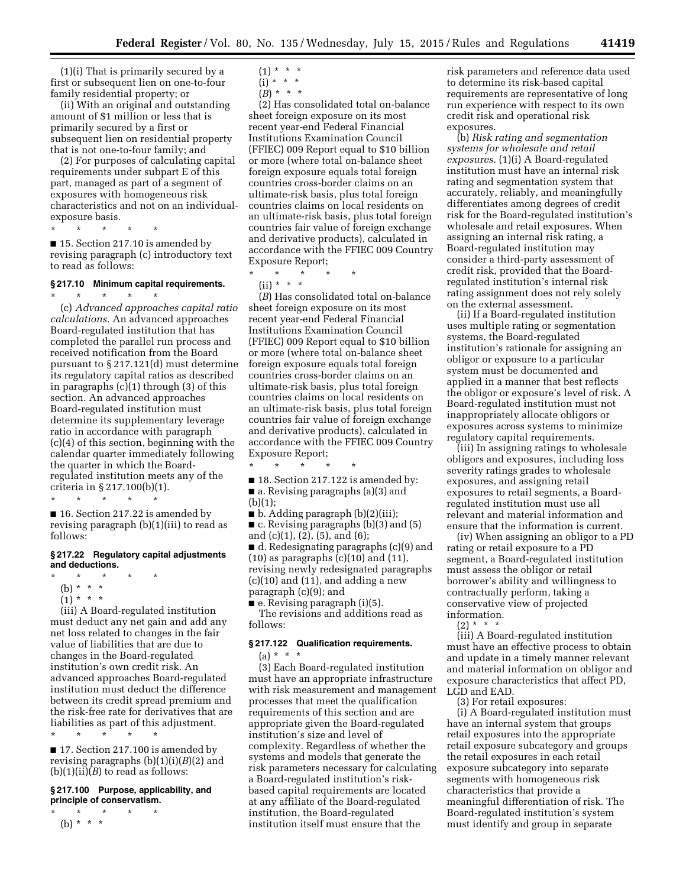(1)(i) That is primarily secured by a first or subsequent lien on one-to-four family residential property; or

(ii) With an original and outstanding amount of \$1 million or less that is primarily secured by a first or subsequent lien on residential property that is not one-to-four family; and

(2) For purposes of calculating capital requirements under subpart E of this part, managed as part of a segment of exposures with homogeneous risk characteristics and not on an individualexposure basis.

\* \* \* \* \*

■ 15. Section 217.10 is amended by revising paragraph (c) introductory text to read as follows:

# **§ 217.10 Minimum capital requirements.**

\* \* \* \* \* (c) *Advanced approaches capital ratio calculations.* An advanced approaches Board-regulated institution that has completed the parallel run process and received notification from the Board pursuant to § 217.121(d) must determine its regulatory capital ratios as described in paragraphs (c)(1) through (3) of this section. An advanced approaches Board-regulated institution must determine its supplementary leverage ratio in accordance with paragraph (c)(4) of this section, beginning with the calendar quarter immediately following the quarter in which the Boardregulated institution meets any of the criteria in § 217.100(b)(1). \* \* \* \* \*

■ 16. Section 217.22 is amended by revising paragraph (b)(1)(iii) to read as follows:

#### **§ 217.22 Regulatory capital adjustments and deductions.**

- \* \* \* \* \* (b) \* \* \*
- $(1) * * * *$

(iii) A Board-regulated institution must deduct any net gain and add any net loss related to changes in the fair value of liabilities that are due to changes in the Board-regulated institution's own credit risk. An advanced approaches Board-regulated institution must deduct the difference between its credit spread premium and the risk-free rate for derivatives that are liabilities as part of this adjustment.

\* \* \* \* \* ■ 17. Section 217.100 is amended by revising paragraphs (b)(1)(i)(*B*)(2) and  $(b)(1)(ii)(B)$  to read as follows:

# **§ 217.100 Purpose, applicability, and principle of conservatism.**

 $*$  \* \* (b) \* \* \*

- $(1) * * * *$
- $(i)$  \* \* \*  $(B) * * * *$

(2) Has consolidated total on-balance sheet foreign exposure on its most recent year-end Federal Financial Institutions Examination Council (FFIEC) 009 Report equal to \$10 billion or more (where total on-balance sheet foreign exposure equals total foreign countries cross-border claims on an ultimate-risk basis, plus total foreign countries claims on local residents on an ultimate-risk basis, plus total foreign countries fair value of foreign exchange and derivative products), calculated in accordance with the FFIEC 009 Country Exposure Report;

\* \* \* \* \*

 $(ii) * * * *$ 

(*B*) Has consolidated total on-balance sheet foreign exposure on its most recent year-end Federal Financial Institutions Examination Council (FFIEC) 009 Report equal to \$10 billion or more (where total on-balance sheet foreign exposure equals total foreign countries cross-border claims on an ultimate-risk basis, plus total foreign countries claims on local residents on an ultimate-risk basis, plus total foreign countries fair value of foreign exchange and derivative products), calculated in accordance with the FFIEC 009 Country Exposure Report;

\* \* \* \* \*

- 18. Section 217.122 is amended by:
- a. Revising paragraphs (a)(3) and
- (b)(1);

■ b. Adding paragraph (b)(2)(iii);

■ c. Revising paragraphs (b)(3) and (5) and (c)(1), (2), (5), and (6);

■ d. Redesignating paragraphs (c)(9) and  $(10)$  as paragraphs  $(c)(10)$  and  $(11)$ , revising newly redesignated paragraphs  $(c)(10)$  and  $(11)$ , and adding a new paragraph (c)(9); and

■ e. Revising paragraph (i)(5).

The revisions and additions read as follows:

# **§ 217.122 Qualification requirements.**   $(a) * * * *$

(3) Each Board-regulated institution must have an appropriate infrastructure with risk measurement and management processes that meet the qualification requirements of this section and are appropriate given the Board-regulated institution's size and level of complexity. Regardless of whether the systems and models that generate the risk parameters necessary for calculating a Board-regulated institution's riskbased capital requirements are located at any affiliate of the Board-regulated institution, the Board-regulated institution itself must ensure that the

risk parameters and reference data used to determine its risk-based capital requirements are representative of long run experience with respect to its own credit risk and operational risk exposures.

(b) *Risk rating and segmentation systems for wholesale and retail exposures.* (1)(i) A Board-regulated institution must have an internal risk rating and segmentation system that accurately, reliably, and meaningfully differentiates among degrees of credit risk for the Board-regulated institution's wholesale and retail exposures. When assigning an internal risk rating, a Board-regulated institution may consider a third-party assessment of credit risk, provided that the Boardregulated institution's internal risk rating assignment does not rely solely on the external assessment.

(ii) If a Board-regulated institution uses multiple rating or segmentation systems, the Board-regulated institution's rationale for assigning an obligor or exposure to a particular system must be documented and applied in a manner that best reflects the obligor or exposure's level of risk. A Board-regulated institution must not inappropriately allocate obligors or exposures across systems to minimize regulatory capital requirements.

(iii) In assigning ratings to wholesale obligors and exposures, including loss severity ratings grades to wholesale exposures, and assigning retail exposures to retail segments, a Boardregulated institution must use all relevant and material information and ensure that the information is current.

(iv) When assigning an obligor to a PD rating or retail exposure to a PD segment, a Board-regulated institution must assess the obligor or retail borrower's ability and willingness to contractually perform, taking a conservative view of projected information.

 $(2) *$ 

(iii) A Board-regulated institution must have an effective process to obtain and update in a timely manner relevant and material information on obligor and exposure characteristics that affect PD, LGD and EAD.

(3) For retail exposures:

(i) A Board-regulated institution must have an internal system that groups retail exposures into the appropriate retail exposure subcategory and groups the retail exposures in each retail exposure subcategory into separate segments with homogeneous risk characteristics that provide a meaningful differentiation of risk. The Board-regulated institution's system must identify and group in separate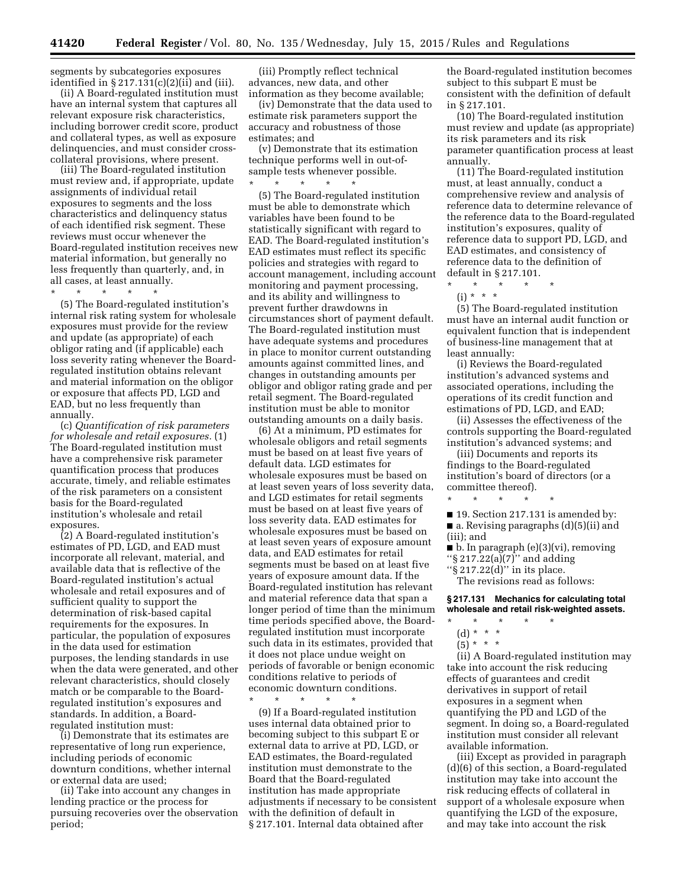segments by subcategories exposures identified in § 217.131(c)(2)(ii) and (iii).

(ii) A Board-regulated institution must have an internal system that captures all relevant exposure risk characteristics, including borrower credit score, product and collateral types, as well as exposure delinquencies, and must consider crosscollateral provisions, where present.

(iii) The Board-regulated institution must review and, if appropriate, update assignments of individual retail exposures to segments and the loss characteristics and delinquency status of each identified risk segment. These reviews must occur whenever the Board-regulated institution receives new material information, but generally no less frequently than quarterly, and, in all cases, at least annually.

\* \* \* \* \*

(5) The Board-regulated institution's internal risk rating system for wholesale exposures must provide for the review and update (as appropriate) of each obligor rating and (if applicable) each loss severity rating whenever the Boardregulated institution obtains relevant and material information on the obligor or exposure that affects PD, LGD and EAD, but no less frequently than annually.

(c) *Quantification of risk parameters for wholesale and retail exposures.* (1) The Board-regulated institution must have a comprehensive risk parameter quantification process that produces accurate, timely, and reliable estimates of the risk parameters on a consistent basis for the Board-regulated institution's wholesale and retail exposures.

(2) A Board-regulated institution's estimates of PD, LGD, and EAD must incorporate all relevant, material, and available data that is reflective of the Board-regulated institution's actual wholesale and retail exposures and of sufficient quality to support the determination of risk-based capital requirements for the exposures. In particular, the population of exposures in the data used for estimation purposes, the lending standards in use when the data were generated, and other relevant characteristics, should closely match or be comparable to the Boardregulated institution's exposures and standards. In addition, a Boardregulated institution must:

(i) Demonstrate that its estimates are representative of long run experience, including periods of economic downturn conditions, whether internal or external data are used;

(ii) Take into account any changes in lending practice or the process for pursuing recoveries over the observation period;

(iii) Promptly reflect technical advances, new data, and other information as they become available;

(iv) Demonstrate that the data used to estimate risk parameters support the accuracy and robustness of those estimates; and

(v) Demonstrate that its estimation technique performs well in out-ofsample tests whenever possible.  $\star$ 

(5) The Board-regulated institution must be able to demonstrate which variables have been found to be statistically significant with regard to EAD. The Board-regulated institution's EAD estimates must reflect its specific policies and strategies with regard to account management, including account monitoring and payment processing, and its ability and willingness to prevent further drawdowns in circumstances short of payment default. The Board-regulated institution must have adequate systems and procedures in place to monitor current outstanding amounts against committed lines, and changes in outstanding amounts per obligor and obligor rating grade and per retail segment. The Board-regulated institution must be able to monitor outstanding amounts on a daily basis.

(6) At a minimum, PD estimates for wholesale obligors and retail segments must be based on at least five years of default data. LGD estimates for wholesale exposures must be based on at least seven years of loss severity data, and LGD estimates for retail segments must be based on at least five years of loss severity data. EAD estimates for wholesale exposures must be based on at least seven years of exposure amount data, and EAD estimates for retail segments must be based on at least five years of exposure amount data. If the Board-regulated institution has relevant and material reference data that span a longer period of time than the minimum time periods specified above, the Boardregulated institution must incorporate such data in its estimates, provided that it does not place undue weight on periods of favorable or benign economic conditions relative to periods of economic downturn conditions.

\* \* \* \* \* (9) If a Board-regulated institution uses internal data obtained prior to becoming subject to this subpart E or external data to arrive at PD, LGD, or EAD estimates, the Board-regulated institution must demonstrate to the Board that the Board-regulated institution has made appropriate adjustments if necessary to be consistent with the definition of default in § 217.101. Internal data obtained after

the Board-regulated institution becomes subject to this subpart E must be consistent with the definition of default in § 217.101.

(10) The Board-regulated institution must review and update (as appropriate) its risk parameters and its risk parameter quantification process at least annually.

(11) The Board-regulated institution must, at least annually, conduct a comprehensive review and analysis of reference data to determine relevance of the reference data to the Board-regulated institution's exposures, quality of reference data to support PD, LGD, and EAD estimates, and consistency of reference data to the definition of default in § 217.101.

\* \* \* \* \* (i) \* \* \*

(5) The Board-regulated institution must have an internal audit function or equivalent function that is independent of business-line management that at least annually:

(i) Reviews the Board-regulated institution's advanced systems and associated operations, including the operations of its credit function and estimations of PD, LGD, and EAD;

(ii) Assesses the effectiveness of the controls supporting the Board-regulated institution's advanced systems; and

(iii) Documents and reports its findings to the Board-regulated institution's board of directors (or a committee thereof).

\* \* \* \* \* ■ 19. Section 217.131 is amended by:

■ a. Revising paragraphs (d)(5)(ii) and (iii); and

■ b. In paragraph (e)(3)(vi), removing

''§ 217.22(a)(7)'' and adding ''§ 217.22(d)'' in its place.

The revisions read as follows:

**§ 217.131 Mechanics for calculating total wholesale and retail risk-weighted assets.** 

\* \* \* \* \*

 $(5) * * * *$ 

(ii) A Board-regulated institution may take into account the risk reducing effects of guarantees and credit derivatives in support of retail exposures in a segment when quantifying the PD and LGD of the segment. In doing so, a Board-regulated institution must consider all relevant available information.

(iii) Except as provided in paragraph (d)(6) of this section, a Board-regulated institution may take into account the risk reducing effects of collateral in support of a wholesale exposure when quantifying the LGD of the exposure, and may take into account the risk

<sup>(</sup>d) \* \* \*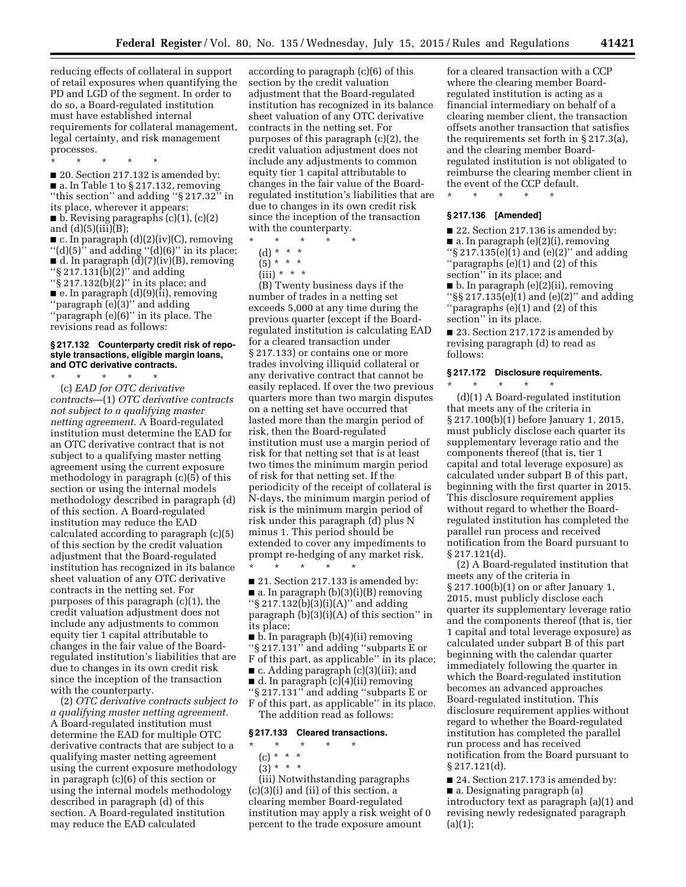reducing effects of collateral in support of retail exposures when quantifying the PD and LGD of the segment. In order to do so, a Board-regulated institution must have established internal requirements for collateral management, legal certainty, and risk management processes.

\* \* \* \* \*

■ 20. Section 217.132 is amended by: ■ a. In Table 1 to § 217.132, removing ''this section'' and adding ''§ 217.32'' in its place, wherever it appears;  $\blacksquare$  b. Revising paragraphs (c)(1), (c)(2)

and  $(d)(5)(iii)(B);$ 

 $\blacksquare$  c. In paragraph (d)(2)(iv)(C), removing " $(d)(5)$ " and adding " $(d)(6)$ " in its place;  $\blacksquare$  d. In paragraph  $(d)(7)(iv)(B)$ , removing ''§ 217.131(b)(2)'' and adding ''§ 217.132(b)(2)'' in its place; and  $\blacksquare$  e. In paragraph (d)(9)(ii), removing ''paragraph (e)(3)'' and adding "paragraph  $(e)(6)$ " in its place. The revisions read as follows:

#### **§ 217.132 Counterparty credit risk of repostyle transactions, eligible margin loans, and OTC derivative contracts.**

\* \* \* \* \* (c) *EAD for OTC derivative contracts*—(1) *OTC derivative contracts not subject to a qualifying master netting agreement.* A Board-regulated institution must determine the EAD for an OTC derivative contract that is not subject to a qualifying master netting agreement using the current exposure methodology in paragraph (c)(5) of this section or using the internal models methodology described in paragraph (d) of this section. A Board-regulated institution may reduce the EAD calculated according to paragraph (c)(5) of this section by the credit valuation adjustment that the Board-regulated institution has recognized in its balance sheet valuation of any OTC derivative contracts in the netting set. For purposes of this paragraph (c)(1), the credit valuation adjustment does not include any adjustments to common equity tier 1 capital attributable to changes in the fair value of the Boardregulated institution's liabilities that are due to changes in its own credit risk since the inception of the transaction with the counterparty.

(2) *OTC derivative contracts subject to a qualifying master netting agreement.*  A Board-regulated institution must determine the EAD for multiple OTC derivative contracts that are subject to a qualifying master netting agreement using the current exposure methodology in paragraph (c)(6) of this section or using the internal models methodology described in paragraph (d) of this section. A Board-regulated institution may reduce the EAD calculated

according to paragraph (c)(6) of this section by the credit valuation adjustment that the Board-regulated institution has recognized in its balance sheet valuation of any OTC derivative contracts in the netting set. For purposes of this paragraph (c)(2), the credit valuation adjustment does not include any adjustments to common equity tier 1 capital attributable to changes in the fair value of the Boardregulated institution's liabilities that are due to changes in its own credit risk since the inception of the transaction with the counterparty.

\* \* \* \* \*

(d) \* \* \*

 $(iii) * * * *$ 

(B) Twenty business days if the number of trades in a netting set exceeds 5,000 at any time during the previous quarter (except if the Boardregulated institution is calculating EAD for a cleared transaction under § 217.133) or contains one or more trades involving illiquid collateral or any derivative contract that cannot be easily replaced. If over the two previous quarters more than two margin disputes on a netting set have occurred that lasted more than the margin period of risk, then the Board-regulated institution must use a margin period of risk for that netting set that is at least two times the minimum margin period of risk for that netting set. If the periodicity of the receipt of collateral is N-days, the minimum margin period of risk is the minimum margin period of risk under this paragraph (d) plus N minus 1. This period should be extended to cover any impediments to prompt re-hedging of any market risk. \* \* \* \* \*

■ 21. Section 217.133 is amended by: ■ a. In paragraph (b)(3)(i)(B) removing ''§ 217.132(b)(3)(i)(A)'' and adding paragraph (b)(3)(i)(A) of this section'' in its place;

■ b. In paragraph (b)(4)(ii) removing ''§ 217.131'' and adding ''subparts E or F of this part, as applicable'' in its place; ■ c. Adding paragraph (c)(3)(iii); and ■ d. In paragraph (c)(4)(ii) removing ''§ 217.131'' and adding ''subparts E or F of this part, as applicable'' in its place. The addition read as follows:

# **§ 217.133 Cleared transactions.**

\* \* \* \* \*

- (c) \* \* \*
- $(3) * * * *$

(iii) Notwithstanding paragraphs (c)(3)(i) and (ii) of this section, a clearing member Board-regulated institution may apply a risk weight of 0 percent to the trade exposure amount

for a cleared transaction with a CCP where the clearing member Boardregulated institution is acting as a financial intermediary on behalf of a clearing member client, the transaction offsets another transaction that satisfies the requirements set forth in § 217.3(a), and the clearing member Boardregulated institution is not obligated to reimburse the clearing member client in the event of the CCP default.

#### **§ 217.136 [Amended]**

\* \* \* \* \*

■ 22. Section 217.136 is amended by: ■ a. In paragraph (e)(2)(i), removing ''§ 217.135(e)(1) and (e)(2)'' and adding ''paragraphs (e)(1) and (2) of this section'' in its place; and ■ b. In paragraph (e)(2)(ii), removing " $\S$ § 217.135(e)(1) and (e)(2)" and adding ''paragraphs (e)(1) and (2) of this

section'' in its place. ■ 23. Section 217.172 is amended by revising paragraph (d) to read as follows:

#### **§ 217.172 Disclosure requirements.**

\* \* \* \* \* (d)(1) A Board-regulated institution that meets any of the criteria in § 217.100(b)(1) before January 1, 2015, must publicly disclose each quarter its supplementary leverage ratio and the components thereof (that is, tier 1 capital and total leverage exposure) as calculated under subpart B of this part, beginning with the first quarter in 2015. This disclosure requirement applies without regard to whether the Boardregulated institution has completed the parallel run process and received notification from the Board pursuant to § 217.121(d).

(2) A Board-regulated institution that meets any of the criteria in § 217.100(b)(1) on or after January 1, 2015, must publicly disclose each quarter its supplementary leverage ratio and the components thereof (that is, tier 1 capital and total leverage exposure) as calculated under subpart B of this part beginning with the calendar quarter immediately following the quarter in which the Board-regulated institution becomes an advanced approaches Board-regulated institution. This disclosure requirement applies without regard to whether the Board-regulated institution has completed the parallel run process and has received notification from the Board pursuant to § 217.121(d).

■ 24. Section 217.173 is amended by: ■ a. Designating paragraph (a) introductory text as paragraph (a)(1) and revising newly redesignated paragraph  $(a)(1);$ 

 $(5) * * * *$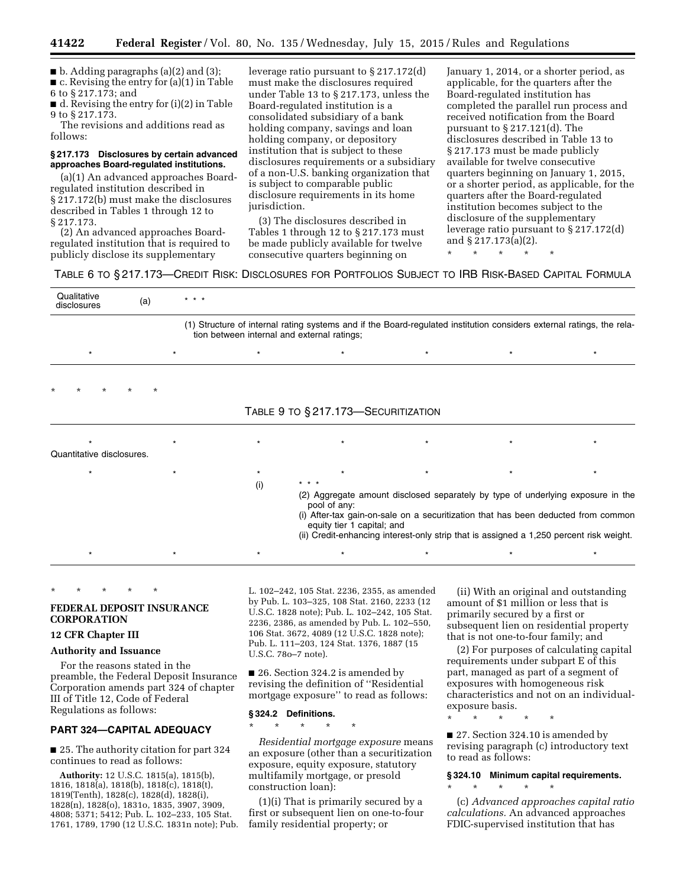$\blacksquare$  b. Adding paragraphs (a)(2) and (3);

■ c. Revising the entry for (a)(1) in Table

6 to § 217.173; and ■ d. Revising the entry for (i)(2) in Table 9 to § 217.173.

The revisions and additions read as follows:

#### **§ 217.173 Disclosures by certain advanced approaches Board-regulated institutions.**

(a)(1) An advanced approaches Boardregulated institution described in § 217.172(b) must make the disclosures described in Tables 1 through 12 to § 217.173.

(2) An advanced approaches Boardregulated institution that is required to publicly disclose its supplementary

leverage ratio pursuant to § 217.172(d) must make the disclosures required under Table 13 to § 217.173, unless the Board-regulated institution is a consolidated subsidiary of a bank holding company, savings and loan holding company, or depository institution that is subject to these disclosures requirements or a subsidiary of a non-U.S. banking organization that is subject to comparable public disclosure requirements in its home jurisdiction.

(3) The disclosures described in Tables 1 through 12 to § 217.173 must be made publicly available for twelve consecutive quarters beginning on

January 1, 2014, or a shorter period, as applicable, for the quarters after the Board-regulated institution has completed the parallel run process and received notification from the Board pursuant to § 217.121(d). The disclosures described in Table 13 to § 217.173 must be made publicly available for twelve consecutive quarters beginning on January 1, 2015, or a shorter period, as applicable, for the quarters after the Board-regulated institution becomes subject to the disclosure of the supplementary leverage ratio pursuant to § 217.172(d) and § 217.173(a)(2).

\* \* \* \* \*

TABLE 6 TO § 217.173—CREDIT RISK: DISCLOSURES FOR PORTFOLIOS SUBJECT TO IRB RISK-BASED CAPITAL FORMULA

| Qualitative<br>disclosures | (a)     | $* * *$ |         |                                                                                                                                                                                                                                                                                                               |         |  |
|----------------------------|---------|---------|---------|---------------------------------------------------------------------------------------------------------------------------------------------------------------------------------------------------------------------------------------------------------------------------------------------------------------|---------|--|
|                            |         |         |         | (1) Structure of internal rating systems and if the Board-regulated institution considers external ratings, the rela-<br>tion between internal and external ratings;                                                                                                                                          |         |  |
|                            |         |         | $\star$ | $\star$                                                                                                                                                                                                                                                                                                       | $\star$ |  |
| $\star$                    | $\star$ |         |         |                                                                                                                                                                                                                                                                                                               |         |  |
|                            |         |         |         | TABLE 9 TO § 217.173-SECURITIZATION                                                                                                                                                                                                                                                                           |         |  |
| Quantitative disclosures.  |         |         |         |                                                                                                                                                                                                                                                                                                               |         |  |
| $\star$                    |         |         |         |                                                                                                                                                                                                                                                                                                               |         |  |
|                            |         |         | (i)     | (2) Aggregate amount disclosed separately by type of underlying exposure in the<br>pool of any:<br>(i) After-tax gain-on-sale on a securitization that has been deducted from common<br>equity tier 1 capital; and<br>(ii) Credit-enhancing interest-only strip that is assigned a 1,250 percent risk weight. |         |  |
|                            |         |         |         |                                                                                                                                                                                                                                                                                                               |         |  |

# **FEDERAL DEPOSIT INSURANCE CORPORATION**

# **12 CFR Chapter III**

# **Authority and Issuance**

\* \* \* \* \*

For the reasons stated in the preamble, the Federal Deposit Insurance Corporation amends part 324 of chapter III of Title 12, Code of Federal Regulations as follows:

# **PART 324—CAPITAL ADEQUACY**

■ 25. The authority citation for part 324 continues to read as follows:

**Authority:** 12 U.S.C. 1815(a), 1815(b), 1816, 1818(a), 1818(b), 1818(c), 1818(t), 1819(Tenth), 1828(c), 1828(d), 1828(i), 1828(n), 1828(o), 1831o, 1835, 3907, 3909, 4808; 5371; 5412; Pub. L. 102–233, 105 Stat. 1761, 1789, 1790 (12 U.S.C. 1831n note); Pub.

L. 102–242, 105 Stat. 2236, 2355, as amended by Pub. L. 103–325, 108 Stat. 2160, 2233 (12 U.S.C. 1828 note); Pub. L. 102–242, 105 Stat. 2236, 2386, as amended by Pub. L. 102–550, 106 Stat. 3672, 4089 (12 U.S.C. 1828 note); Pub. L. 111–203, 124 Stat. 1376, 1887 (15 U.S.C. 78o–7 note).

■ 26. Section 324.2 is amended by revising the definition of ''Residential mortgage exposure'' to read as follows:

#### **§ 324.2 Definitions.**

\* \* \* \* \*

*Residential mortgage exposure* means an exposure (other than a securitization exposure, equity exposure, statutory multifamily mortgage, or presold construction loan):

(1)(i) That is primarily secured by a first or subsequent lien on one-to-four family residential property; or

(ii) With an original and outstanding amount of \$1 million or less that is primarily secured by a first or subsequent lien on residential property that is not one-to-four family; and

(2) For purposes of calculating capital requirements under subpart E of this part, managed as part of a segment of exposures with homogeneous risk characteristics and not on an individualexposure basis.

\* \* \* \* \*

■ 27. Section 324.10 is amended by revising paragraph (c) introductory text to read as follows:

# **§ 324.10 Minimum capital requirements.**

\* \* \* \* \* (c) *Advanced approaches capital ratio* 

*calculations.* An advanced approaches FDIC-supervised institution that has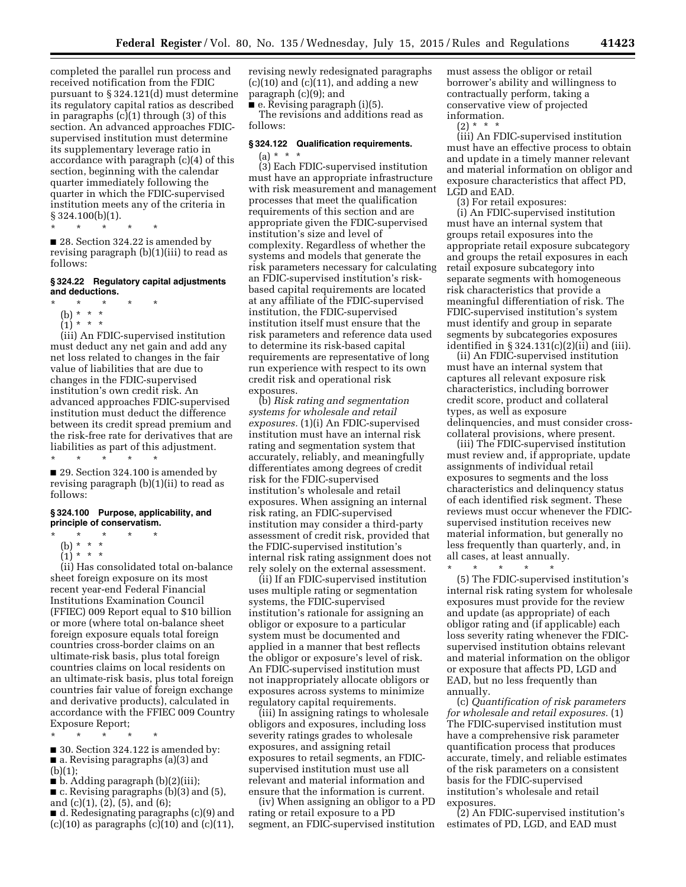completed the parallel run process and received notification from the FDIC pursuant to § 324.121(d) must determine its regulatory capital ratios as described in paragraphs (c)(1) through (3) of this section. An advanced approaches FDICsupervised institution must determine its supplementary leverage ratio in accordance with paragraph (c)(4) of this section, beginning with the calendar quarter immediately following the quarter in which the FDIC-supervised institution meets any of the criteria in § 324.100(b)(1).

\* \* \* \* \*

■ 28. Section 324.22 is amended by revising paragraph (b)(1)(iii) to read as follows:

# **§ 324.22 Regulatory capital adjustments and deductions.**

- \* \* \* \* \*
	- (b) \* \* \*  $(1) * * * *$
- 

(iii) An FDIC-supervised institution must deduct any net gain and add any net loss related to changes in the fair value of liabilities that are due to changes in the FDIC-supervised institution's own credit risk. An advanced approaches FDIC-supervised institution must deduct the difference between its credit spread premium and the risk-free rate for derivatives that are liabilities as part of this adjustment.

\* \* \* \* \*

■ 29. Section 324.100 is amended by revising paragraph (b)(1)(ii) to read as follows:

#### **§ 324.100 Purpose, applicability, and principle of conservatism.**

- \* \* \* \* \*
	- (b) \* \* \*
	- $(1)^*$  \* \* \*

(ii) Has consolidated total on-balance sheet foreign exposure on its most recent year-end Federal Financial Institutions Examination Council (FFIEC) 009 Report equal to \$10 billion or more (where total on-balance sheet foreign exposure equals total foreign countries cross-border claims on an ultimate-risk basis, plus total foreign countries claims on local residents on an ultimate-risk basis, plus total foreign countries fair value of foreign exchange and derivative products), calculated in accordance with the FFIEC 009 Country Exposure Report;

\* \* \* \* \*

■ 30. Section 324.122 is amended by: ■ a. Revising paragraphs (a)(3) and  $(b)(1);$ 

■ b. Adding paragraph (b)(2)(iii);

 $\blacksquare$  c. Revising paragraphs (b)(3) and (5), and (c)(1), (2), (5), and (6);

■ d. Redesignating paragraphs (c)(9) and  $(c)(10)$  as paragraphs  $(c)(10)$  and  $(c)(11)$ ,

revising newly redesignated paragraphs  $(c)(10)$  and  $(c)(11)$ , and adding a new paragraph (c)(9); and

■ e. Revising paragraph (i)(5).

The revisions and additions read as follows:

# **§ 324.122 Qualification requirements.**  (a) \* \* \*

(3) Each FDIC-supervised institution must have an appropriate infrastructure with risk measurement and management processes that meet the qualification requirements of this section and are appropriate given the FDIC-supervised institution's size and level of complexity. Regardless of whether the systems and models that generate the risk parameters necessary for calculating an FDIC-supervised institution's riskbased capital requirements are located at any affiliate of the FDIC-supervised institution, the FDIC-supervised institution itself must ensure that the risk parameters and reference data used to determine its risk-based capital requirements are representative of long run experience with respect to its own credit risk and operational risk exposures.

(b) *Risk rating and segmentation systems for wholesale and retail exposures.* (1)(i) An FDIC-supervised institution must have an internal risk rating and segmentation system that accurately, reliably, and meaningfully differentiates among degrees of credit risk for the FDIC-supervised institution's wholesale and retail exposures. When assigning an internal risk rating, an FDIC-supervised institution may consider a third-party assessment of credit risk, provided that the FDIC-supervised institution's internal risk rating assignment does not rely solely on the external assessment.

(ii) If an FDIC-supervised institution uses multiple rating or segmentation systems, the FDIC-supervised institution's rationale for assigning an obligor or exposure to a particular system must be documented and applied in a manner that best reflects the obligor or exposure's level of risk. An FDIC-supervised institution must not inappropriately allocate obligors or exposures across systems to minimize regulatory capital requirements.

(iii) In assigning ratings to wholesale obligors and exposures, including loss severity ratings grades to wholesale exposures, and assigning retail exposures to retail segments, an FDICsupervised institution must use all relevant and material information and ensure that the information is current.

(iv) When assigning an obligor to a PD rating or retail exposure to a PD segment, an FDIC-supervised institution

must assess the obligor or retail borrower's ability and willingness to contractually perform, taking a conservative view of projected information.

 $(2) * *$ 

(iii) An FDIC-supervised institution must have an effective process to obtain and update in a timely manner relevant and material information on obligor and exposure characteristics that affect PD, LGD and EAD.

(3) For retail exposures:

(i) An FDIC-supervised institution must have an internal system that groups retail exposures into the appropriate retail exposure subcategory and groups the retail exposures in each retail exposure subcategory into separate segments with homogeneous risk characteristics that provide a meaningful differentiation of risk. The FDIC-supervised institution's system must identify and group in separate segments by subcategories exposures identified in  $\S 324.131(c)(2)(ii)$  and (iii).

(ii) An FDIC-supervised institution must have an internal system that captures all relevant exposure risk characteristics, including borrower credit score, product and collateral types, as well as exposure delinquencies, and must consider crosscollateral provisions, where present.

(iii) The FDIC-supervised institution must review and, if appropriate, update assignments of individual retail exposures to segments and the loss characteristics and delinquency status of each identified risk segment. These reviews must occur whenever the FDICsupervised institution receives new material information, but generally no less frequently than quarterly, and, in all cases, at least annually.

\* \* \* \* \*

(5) The FDIC-supervised institution's internal risk rating system for wholesale exposures must provide for the review and update (as appropriate) of each obligor rating and (if applicable) each loss severity rating whenever the FDICsupervised institution obtains relevant and material information on the obligor or exposure that affects PD, LGD and EAD, but no less frequently than annually.

(c) *Quantification of risk parameters for wholesale and retail exposures.* (1) The FDIC-supervised institution must have a comprehensive risk parameter quantification process that produces accurate, timely, and reliable estimates of the risk parameters on a consistent basis for the FDIC-supervised institution's wholesale and retail exposures.

(2) An FDIC-supervised institution's estimates of PD, LGD, and EAD must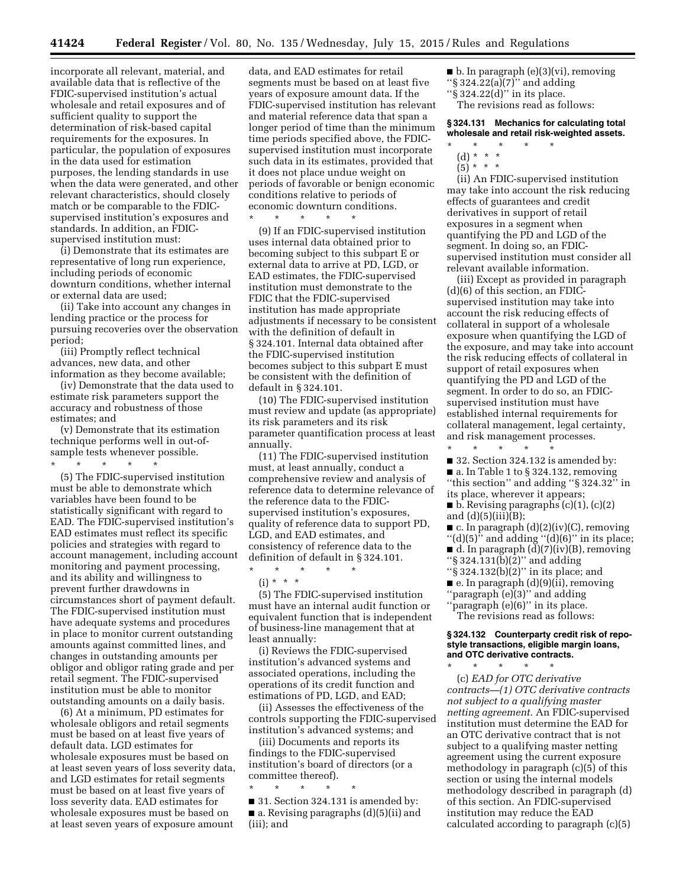\* \* \* \* \*

incorporate all relevant, material, and available data that is reflective of the FDIC-supervised institution's actual wholesale and retail exposures and of sufficient quality to support the determination of risk-based capital requirements for the exposures. In particular, the population of exposures in the data used for estimation purposes, the lending standards in use when the data were generated, and other relevant characteristics, should closely match or be comparable to the FDICsupervised institution's exposures and standards. In addition, an FDICsupervised institution must:

(i) Demonstrate that its estimates are representative of long run experience, including periods of economic downturn conditions, whether internal or external data are used;

(ii) Take into account any changes in lending practice or the process for pursuing recoveries over the observation period;

(iii) Promptly reflect technical advances, new data, and other information as they become available;

(iv) Demonstrate that the data used to estimate risk parameters support the accuracy and robustness of those estimates; and

(v) Demonstrate that its estimation technique performs well in out-ofsample tests whenever possible.

\* \* \* \* \* (5) The FDIC-supervised institution must be able to demonstrate which variables have been found to be statistically significant with regard to EAD. The FDIC-supervised institution's EAD estimates must reflect its specific policies and strategies with regard to account management, including account monitoring and payment processing, and its ability and willingness to prevent further drawdowns in circumstances short of payment default. The FDIC-supervised institution must have adequate systems and procedures in place to monitor current outstanding amounts against committed lines, and changes in outstanding amounts per obligor and obligor rating grade and per retail segment. The FDIC-supervised institution must be able to monitor outstanding amounts on a daily basis.

(6) At a minimum, PD estimates for wholesale obligors and retail segments must be based on at least five years of default data. LGD estimates for wholesale exposures must be based on at least seven years of loss severity data, and LGD estimates for retail segments must be based on at least five years of loss severity data. EAD estimates for wholesale exposures must be based on at least seven years of exposure amount

data, and EAD estimates for retail segments must be based on at least five years of exposure amount data. If the FDIC-supervised institution has relevant and material reference data that span a longer period of time than the minimum time periods specified above, the FDICsupervised institution must incorporate such data in its estimates, provided that it does not place undue weight on periods of favorable or benign economic conditions relative to periods of economic downturn conditions.

(9) If an FDIC-supervised institution uses internal data obtained prior to becoming subject to this subpart E or external data to arrive at PD, LGD, or EAD estimates, the FDIC-supervised institution must demonstrate to the FDIC that the FDIC-supervised institution has made appropriate adjustments if necessary to be consistent with the definition of default in § 324.101. Internal data obtained after the FDIC-supervised institution becomes subject to this subpart E must be consistent with the definition of default in § 324.101.

(10) The FDIC-supervised institution must review and update (as appropriate) its risk parameters and its risk parameter quantification process at least annually.

(11) The FDIC-supervised institution must, at least annually, conduct a comprehensive review and analysis of reference data to determine relevance of the reference data to the FDICsupervised institution's exposures, quality of reference data to support PD, LGD, and EAD estimates, and consistency of reference data to the definition of default in § 324.101.

 $(i) * * * *$ (5) The FDIC-supervised institution

\* \* \* \* \*

must have an internal audit function or equivalent function that is independent of business-line management that at least annually:

(i) Reviews the FDIC-supervised institution's advanced systems and associated operations, including the operations of its credit function and estimations of PD, LGD, and EAD;

(ii) Assesses the effectiveness of the controls supporting the FDIC-supervised institution's advanced systems; and

(iii) Documents and reports its findings to the FDIC-supervised institution's board of directors (or a committee thereof).

\* \* \* \* \* ■ 31. Section 324.131 is amended by: ■ a. Revising paragraphs (d)(5)(ii) and (iii); and

 $\blacksquare$  b. In paragraph (e)(3)(vi), removing

- ''§ 324.22(a)(7)'' and adding
- ''§ 324.22(d)'' in its place. The revisions read as follows:

**§ 324.131 Mechanics for calculating total wholesale and retail risk-weighted assets.** 

- \* \* \* \* \*
- (d) \* \* \*
- $(5)^{*}$  \* \*

(ii) An FDIC-supervised institution may take into account the risk reducing effects of guarantees and credit derivatives in support of retail exposures in a segment when quantifying the PD and LGD of the segment. In doing so, an FDICsupervised institution must consider all relevant available information.

(iii) Except as provided in paragraph (d)(6) of this section, an FDICsupervised institution may take into account the risk reducing effects of collateral in support of a wholesale exposure when quantifying the LGD of the exposure, and may take into account the risk reducing effects of collateral in support of retail exposures when quantifying the PD and LGD of the segment. In order to do so, an FDICsupervised institution must have established internal requirements for collateral management, legal certainty, and risk management processes.

\* \* \* \* \*

■ 32. Section 324.132 is amended by: ■ a. In Table 1 to § 324.132, removing ''this section'' and adding ''§ 324.32'' in its place, wherever it appears;

 $\blacksquare$  b. Revising paragraphs (c)(1), (c)(2) and  $(d)(5)(iii)(B);$ 

- c. In paragraph (d)(2)(iv)(C), removing
- "(d)(5)" and adding "(d)(6)" in its place; ■ d. In paragraph (d)(7)(iv)(B), removing
- $``\S 324.131(b)(2)"$  and adding
- ''§ 324.132(b)(2)'' in its place; and
- e. In paragraph (d)(9)(ii), removing
- ''paragraph (e)(3)'' and adding ''paragraph (e)(6)'' in its place.

The revisions read as follows:

# **§ 324.132 Counterparty credit risk of repostyle transactions, eligible margin loans, and OTC derivative contracts.**

\* \* \* \* \*

(c) *EAD for OTC derivative contracts—(1) OTC derivative contracts not subject to a qualifying master netting agreement.* An FDIC-supervised institution must determine the EAD for an OTC derivative contract that is not subject to a qualifying master netting agreement using the current exposure methodology in paragraph (c)(5) of this section or using the internal models methodology described in paragraph (d) of this section. An FDIC-supervised institution may reduce the EAD calculated according to paragraph (c)(5)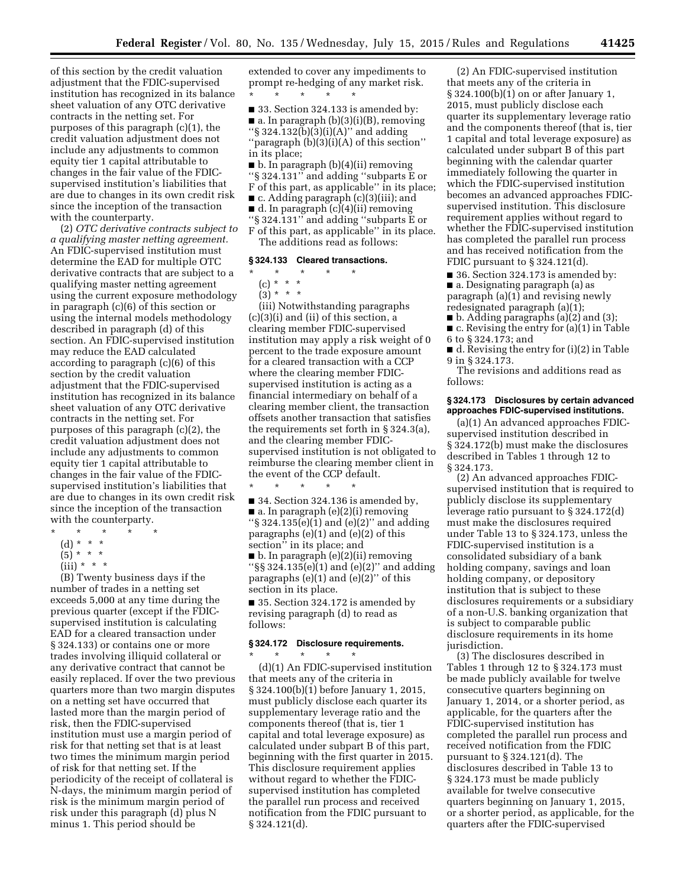of this section by the credit valuation adjustment that the FDIC-supervised institution has recognized in its balance sheet valuation of any OTC derivative contracts in the netting set. For purposes of this paragraph (c)(1), the credit valuation adjustment does not include any adjustments to common equity tier 1 capital attributable to changes in the fair value of the FDICsupervised institution's liabilities that are due to changes in its own credit risk since the inception of the transaction with the counterparty.

(2) *OTC derivative contracts subject to a qualifying master netting agreement.*  An FDIC-supervised institution must determine the EAD for multiple OTC derivative contracts that are subject to a qualifying master netting agreement using the current exposure methodology in paragraph (c)(6) of this section or using the internal models methodology described in paragraph (d) of this section. An FDIC-supervised institution may reduce the EAD calculated according to paragraph (c)(6) of this section by the credit valuation adjustment that the FDIC-supervised institution has recognized in its balance sheet valuation of any OTC derivative contracts in the netting set. For purposes of this paragraph (c)(2), the credit valuation adjustment does not include any adjustments to common equity tier 1 capital attributable to changes in the fair value of the FDICsupervised institution's liabilities that are due to changes in its own credit risk since the inception of the transaction with the counterparty.

- $\star$   $\star$   $\star$
- (d) \* \* \*
- $(5)^{*}$  \* \*
- $(iii) * * * *$

(B) Twenty business days if the number of trades in a netting set exceeds 5,000 at any time during the previous quarter (except if the FDICsupervised institution is calculating EAD for a cleared transaction under § 324.133) or contains one or more trades involving illiquid collateral or any derivative contract that cannot be easily replaced. If over the two previous quarters more than two margin disputes on a netting set have occurred that lasted more than the margin period of risk, then the FDIC-supervised institution must use a margin period of risk for that netting set that is at least two times the minimum margin period of risk for that netting set. If the periodicity of the receipt of collateral is N-days, the minimum margin period of risk is the minimum margin period of risk under this paragraph (d) plus N minus 1. This period should be

extended to cover any impediments to prompt re-hedging of any market risk. \* \* \* \* \*

■ 33. Section 324.133 is amended by: ■ a. In paragraph (b)(3)(i)(B), removing ''§ 324.132(b)(3)(i)(A)'' and adding ''paragraph (b)(3)(i)(A) of this section'' in its place;

■ b. In paragraph (b)(4)(ii) removing ''§ 324.131'' and adding ''subparts E or F of this part, as applicable'' in its place;

■ c. Adding paragraph (c)(3)(iii); and

■ d. In paragraph (c)(4)(ii) removing

''§ 324.131'' and adding ''subparts E or

F of this part, as applicable'' in its place. The additions read as follows:

#### **§ 324.133 Cleared transactions.**

\* \* \* \* \*

- (c) \* \* \*
- (3) \* \* \*

(iii) Notwithstanding paragraphs (c)(3)(i) and (ii) of this section, a clearing member FDIC-supervised institution may apply a risk weight of 0 percent to the trade exposure amount for a cleared transaction with a CCP where the clearing member FDICsupervised institution is acting as a financial intermediary on behalf of a clearing member client, the transaction offsets another transaction that satisfies the requirements set forth in § 324.3(a), and the clearing member FDICsupervised institution is not obligated to reimburse the clearing member client in the event of the CCP default.

\* \* \* \* \* ■ 34. Section 324.136 is amended by,  $\blacksquare$  a. In paragraph (e)(2)(i) removing " $\S 324.135(e)(1)$  and (e)(2)" and adding paragraphs (e)(1) and (e)(2) of this section'' in its place; and

■ b. In paragraph (e)(2)(ii) removing " $\S$ § 324.135(e)(1) and (e)(2)" and adding paragraphs  $(e)(1)$  and  $(e)(2)$ " of this section in its place.

■ 35. Section 324.172 is amended by revising paragraph (d) to read as follows:

#### **§ 324.172 Disclosure requirements.**

 $\star$   $\qquad$   $\star$   $\qquad$   $\star$ 

(d)(1) An FDIC-supervised institution that meets any of the criteria in § 324.100(b)(1) before January 1, 2015, must publicly disclose each quarter its supplementary leverage ratio and the components thereof (that is, tier 1 capital and total leverage exposure) as calculated under subpart B of this part, beginning with the first quarter in 2015. This disclosure requirement applies without regard to whether the FDICsupervised institution has completed the parallel run process and received notification from the FDIC pursuant to § 324.121(d).

(2) An FDIC-supervised institution that meets any of the criteria in § 324.100(b)(1) on or after January 1, 2015, must publicly disclose each quarter its supplementary leverage ratio and the components thereof (that is, tier 1 capital and total leverage exposure) as calculated under subpart B of this part beginning with the calendar quarter immediately following the quarter in which the FDIC-supervised institution becomes an advanced approaches FDICsupervised institution. This disclosure requirement applies without regard to whether the FDIC-supervised institution has completed the parallel run process and has received notification from the FDIC pursuant to § 324.121(d).

■ 36. Section 324.173 is amended by: ■ a. Designating paragraph (a) as paragraph (a)(1) and revising newly redesignated paragraph (a)(1);

- b. Adding paragraphs (a)(2) and (3);
- c. Revising the entry for (a)(1) in Table 6 to § 324.173; and
- d. Revising the entry for (i)(2) in Table 9 in § 324.173.

The revisions and additions read as follows:

#### **§ 324.173 Disclosures by certain advanced approaches FDIC-supervised institutions.**

(a)(1) An advanced approaches FDICsupervised institution described in § 324.172(b) must make the disclosures described in Tables 1 through 12 to § 324.173.

(2) An advanced approaches FDICsupervised institution that is required to publicly disclose its supplementary leverage ratio pursuant to § 324.172(d) must make the disclosures required under Table 13 to § 324.173, unless the FDIC-supervised institution is a consolidated subsidiary of a bank holding company, savings and loan holding company, or depository institution that is subject to these disclosures requirements or a subsidiary of a non-U.S. banking organization that is subject to comparable public disclosure requirements in its home jurisdiction.

(3) The disclosures described in Tables 1 through 12 to § 324.173 must be made publicly available for twelve consecutive quarters beginning on January 1, 2014, or a shorter period, as applicable, for the quarters after the FDIC-supervised institution has completed the parallel run process and received notification from the FDIC pursuant to § 324.121(d). The disclosures described in Table 13 to § 324.173 must be made publicly available for twelve consecutive quarters beginning on January 1, 2015, or a shorter period, as applicable, for the quarters after the FDIC-supervised